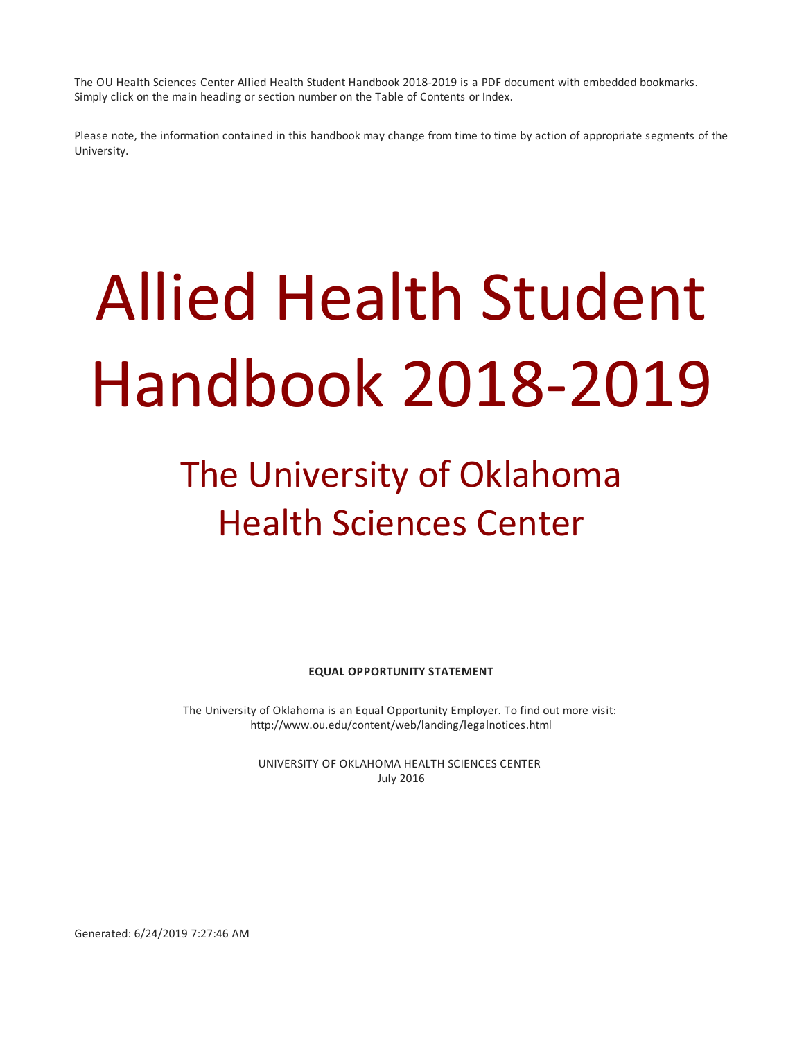The OU Health Sciences Center Allied Health Student Handbook 2018-2019 is a PDF document with embedded bookmarks. Simply click on the main heading or section number on the Table of Contents or Index.

Please note, the information contained in this handbook may change from time to time by action of appropriate segments of the University.

# Allied Health Student Handbook 2018-2019

# The University of Oklahoma Health Sciences Center

**EQUAL OPPORTUNITY STATEMENT**

The University of Oklahoma is an Equal Opportunity Employer. To find out more visit: http://www.ou.edu/content/web/landing/legalnotices.html

> UNIVERSITY OF OKLAHOMA HEALTH SCIENCES CENTER July 2016

Generated: 6/24/2019 7:27:46 AM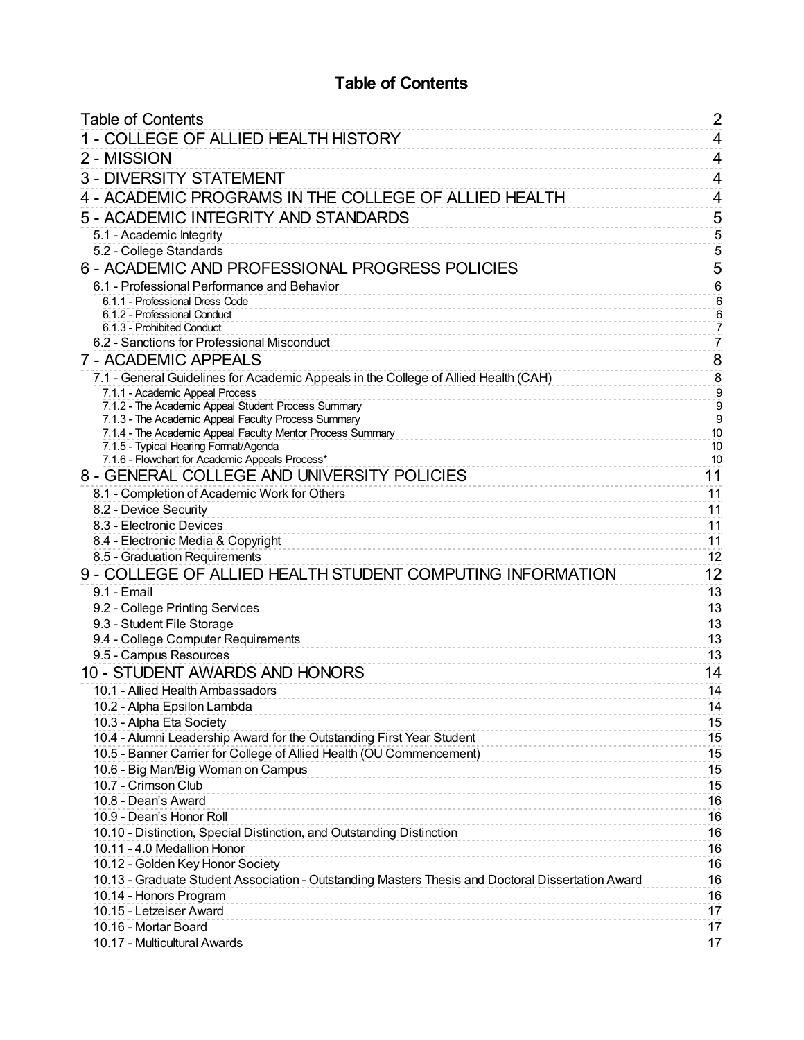# **Table of Contents**

<span id="page-1-0"></span>

| <b>Table of Contents</b>                                                                                   | 2                                |
|------------------------------------------------------------------------------------------------------------|----------------------------------|
| 1 - COLLEGE OF ALLIED HEALTH HISTORY                                                                       | 4                                |
| 2 - MISSION                                                                                                | 4                                |
| <b>3 - DIVERSITY STATEMENT</b>                                                                             | 4                                |
| 4 - ACADEMIC PROGRAMS IN THE COLLEGE OF ALLIED HEALTH                                                      | 4                                |
|                                                                                                            |                                  |
| 5 - ACADEMIC INTEGRITY AND STANDARDS                                                                       | 5                                |
| 5.1 - Academic Integrity<br>5.2 - College Standards                                                        | $\sqrt{5}$<br>$\sqrt{5}$         |
|                                                                                                            | 5                                |
| 6 - ACADEMIC AND PROFESSIONAL PROGRESS POLICIES                                                            |                                  |
| 6.1 - Professional Performance and Behavior<br>6.1.1 - Professional Dress Code                             | $\,6\,$<br>$6\phantom{1}$        |
| 6.1.2 - Professional Conduct                                                                               | $\sqrt{6}$                       |
| 6.1.3 - Prohibited Conduct                                                                                 | $\overline{7}$                   |
| 6.2 - Sanctions for Professional Misconduct                                                                | $\overline{7}$                   |
| 7 - ACADEMIC APPEALS                                                                                       | 8                                |
| 7.1 - General Guidelines for Academic Appeals in the College of Allied Health (CAH)                        | $\bf 8$                          |
| 7.1.1 - Academic Appeal Process                                                                            | $\overline{9}$                   |
| 7.1.2 - The Academic Appeal Student Process Summary<br>7.1.3 - The Academic Appeal Faculty Process Summary | $\overline{9}$<br>$\overline{9}$ |
| 7.1.4 - The Academic Appeal Faculty Mentor Process Summary                                                 | 10                               |
| 7.1.5 - Typical Hearing Format/Agenda                                                                      | 10                               |
| 7.1.6 - Flowchart for Academic Appeals Process*                                                            | 10                               |
| 8 - GENERAL COLLEGE AND UNIVERSITY POLICIES                                                                | 11                               |
| 8.1 - Completion of Academic Work for Others                                                               | 11                               |
| 8.2 - Device Security                                                                                      | 11                               |
| 8.3 - Electronic Devices                                                                                   | 11                               |
| 8.4 - Electronic Media & Copyright                                                                         | 11                               |
| 8.5 - Graduation Requirements                                                                              | 12                               |
| 9 - COLLEGE OF ALLIED HEALTH STUDENT COMPUTING INFORMATION                                                 | 12                               |
| 9.1 - Email                                                                                                | 13                               |
| 9.2 - College Printing Services                                                                            | 13                               |
| 9.3 - Student File Storage<br>9.4 - College Computer Requirements                                          | 13<br>13                         |
| 9.5 - Campus Resources                                                                                     | 13                               |
| 10 - STUDENT AWARDS AND HONORS                                                                             | 14                               |
| 10.1 - Allied Health Ambassadors                                                                           | 14                               |
| 10.2 - Alpha Epsilon Lambda                                                                                | 14                               |
| 10.3 - Alpha Eta Society                                                                                   | 15                               |
| 10.4 - Alumni Leadership Award for the Outstanding First Year Student                                      | 15                               |
| 10.5 - Banner Carrier for College of Allied Health (OU Commencement)                                       | 15                               |
| 10.6 - Big Man/Big Woman on Campus                                                                         | 15                               |
| 10.7 - Crimson Club                                                                                        | 15                               |
| 10.8 - Dean's Award                                                                                        | 16                               |
| 10.9 - Dean's Honor Roll                                                                                   | 16                               |
| 10.10 - Distinction, Special Distinction, and Outstanding Distinction                                      | 16                               |
| 10.11 - 4.0 Medallion Honor<br><u>.</u>                                                                    | 16                               |
| 10.12 - Golden Key Honor Society                                                                           | 16                               |
| 10.13 - Graduate Student Association - Outstanding Masters Thesis and Doctoral Dissertation Award          | 16                               |
| 10.14 - Honors Program<br>10.15 - Letzeiser Award                                                          | 16                               |
| 10.16 - Mortar Board                                                                                       | 17<br>17                         |
| 10.17 - Multicultural Awards                                                                               | 17                               |
|                                                                                                            |                                  |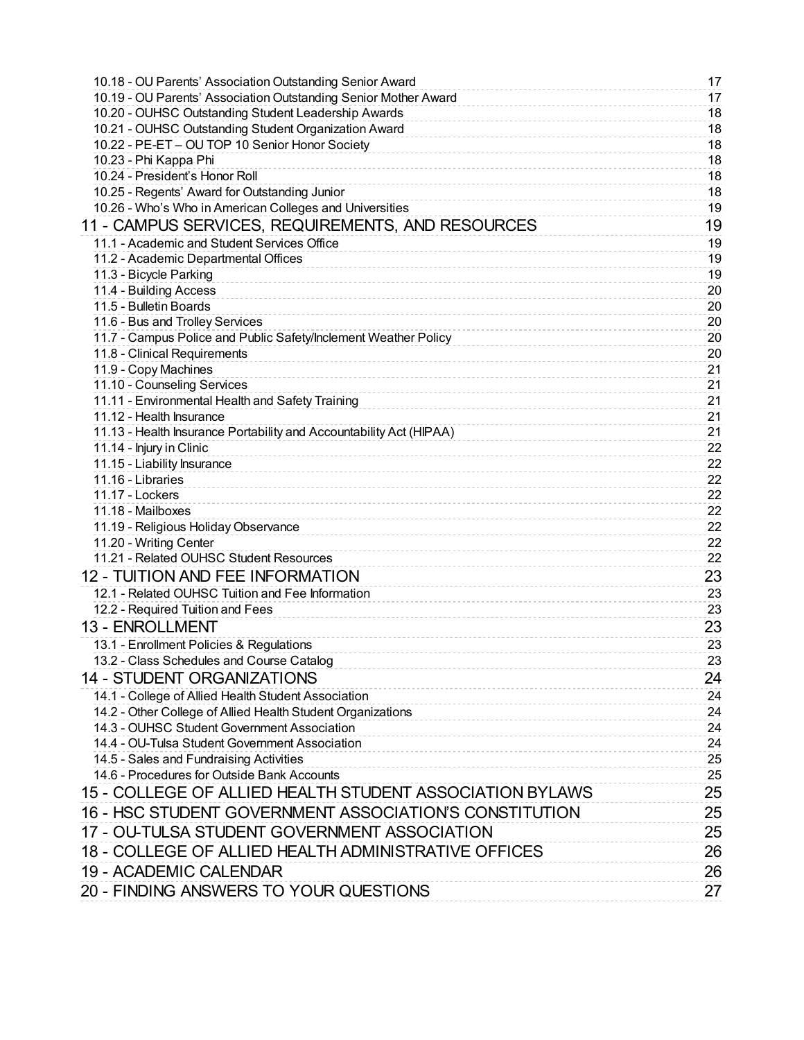| 10.18 - OU Parents' Association Outstanding Senior Award            | 17       |
|---------------------------------------------------------------------|----------|
| 10.19 - OU Parents' Association Outstanding Senior Mother Award     | 17       |
| 10.20 - OUHSC Outstanding Student Leadership Awards                 | 18       |
| 10.21 - OUHSC Outstanding Student Organization Award                | 18       |
| 10.22 - PE-ET - OU TOP 10 Senior Honor Society                      | 18       |
| 10.23 - Phi Kappa Phi                                               | 18       |
| 10.24 - President's Honor Roll                                      | 18       |
| 10.25 - Regents' Award for Outstanding Junior                       | 18       |
| 10.26 - Who's Who in American Colleges and Universities             | 19       |
| 11 - CAMPUS SERVICES, REQUIREMENTS, AND RESOURCES                   | 19       |
| 11.1 - Academic and Student Services Office                         | 19       |
| 11.2 - Academic Departmental Offices                                | 19       |
| 11.3 - Bicycle Parking                                              | 19       |
| 11.4 - Building Access                                              | 20       |
| 11.5 - Bulletin Boards                                              | 20       |
| 11.6 - Bus and Trolley Services                                     | 20       |
| 11.7 - Campus Police and Public Safety/Inclement Weather Policy     | 20       |
| 11.8 - Clinical Requirements                                        | 20       |
| 11.9 - Copy Machines                                                | 21       |
| 11.10 - Counseling Services                                         | 21       |
| 11.11 - Environmental Health and Safety Training                    | 21       |
| 11.12 - Health Insurance                                            | 21       |
| 11.13 - Health Insurance Portability and Accountability Act (HIPAA) | 21       |
| 11.14 - Injury in Clinic                                            | 22       |
| 11.15 - Liability Insurance<br>11.16 - Libraries                    | 22       |
| 11.17 - Lockers                                                     | 22<br>22 |
| 11.18 - Mailboxes                                                   | 22       |
| 11.19 - Religious Holiday Observance                                | 22       |
| 11.20 - Writing Center                                              | 22       |
| 11.21 - Related OUHSC Student Resources                             | 22       |
| <b>12 - TUITION AND FEE INFORMATION</b>                             | 23       |
| 12.1 - Related OUHSC Tuition and Fee Information                    |          |
| 12.2 - Required Tuition and Fees                                    | 23<br>23 |
| 13 - ENROLLMENT                                                     |          |
|                                                                     | 23       |
| 13.1 - Enrollment Policies & Regulations                            | 23       |
| 13.2 - Class Schedules and Course Catalog                           | 23       |
| <b>14 - STUDENT ORGANIZATIONS</b>                                   | 24       |
| 14.1 - College of Allied Health Student Association                 | 24       |
| 14.2 - Other College of Allied Health Student Organizations         | 24       |
| 14.3 - OUHSC Student Government Association                         | 24       |
| 14.4 - OU-Tulsa Student Government Association                      | 24       |
| 14.5 - Sales and Fundraising Activities                             | 25       |
| 14.6 - Procedures for Outside Bank Accounts                         | 25       |
| 15 - COLLEGE OF ALLIED HEALTH STUDENT ASSOCIATION BYLAWS            | 25       |
| 16 - HSC STUDENT GOVERNMENT ASSOCIATION'S CONSTITUTION              | 25       |
| 17 - OU-TULSA STUDENT GOVERNMENT ASSOCIATION                        | 25       |
| 18 - COLLEGE OF ALLIED HEALTH ADMINISTRATIVE OFFICES                | 26       |
| 19 - ACADEMIC CALENDAR                                              | 26       |
| 20 - FINDING ANSWERS TO YOUR QUESTIONS                              | 27       |
|                                                                     |          |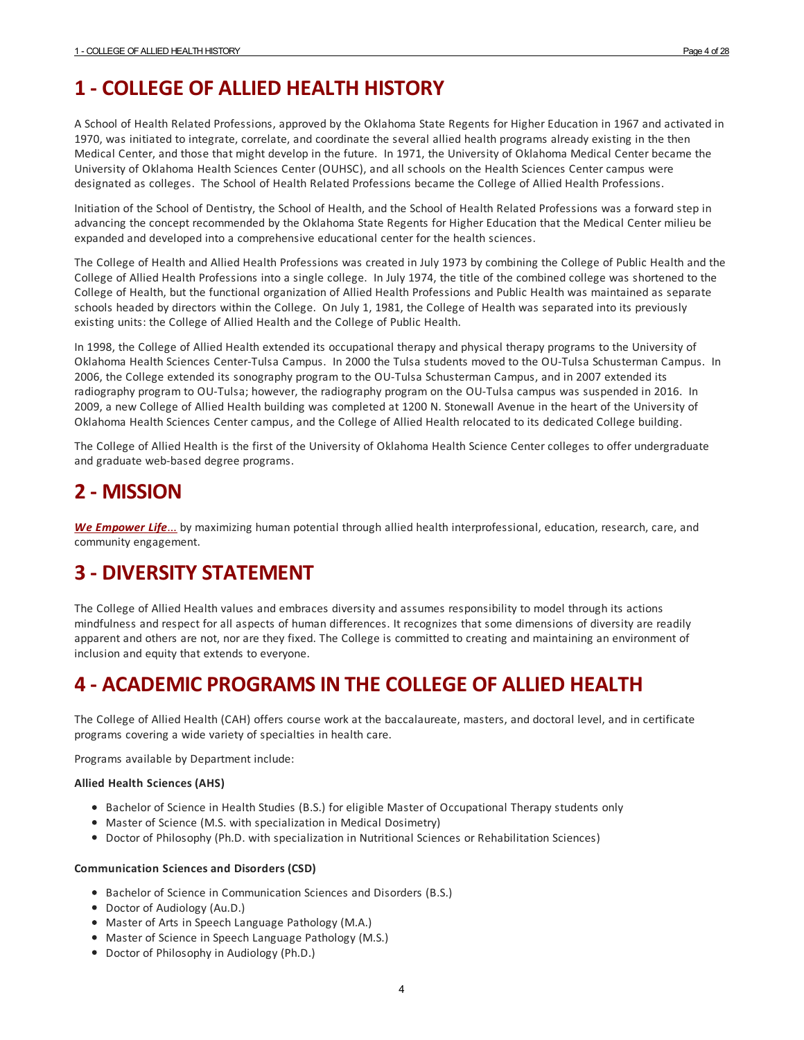# <span id="page-3-0"></span>**1 - COLLEGE OF ALLIED HEALTH HISTORY**

A School of Health Related Professions, approved by the Oklahoma State Regents for Higher Education in 1967 and activated in 1970, was initiated to integrate, correlate, and coordinate the several allied health programs already existing in the then Medical Center, and those that might develop in the future. In 1971, the University of Oklahoma Medical Center became the University of Oklahoma Health Sciences Center (OUHSC), and all schools on the Health Sciences Center campus were designated as colleges. The School of Health Related Professions became the College of Allied Health Professions.

Initiation of the School of Dentistry, the School of Health, and the School of Health Related Professions was a forward step in advancing the concept recommended by the Oklahoma State Regents for Higher Education that the Medical Center milieu be expanded and developed into a comprehensive educational center for the health sciences.

The College of Health and Allied Health Professions was created in July 1973 by combining the College of Public Health and the College of Allied Health Professions into a single college. In July 1974, the title of the combined college was shortened to the College of Health, but the functional organization of Allied Health Professions and Public Health was maintained as separate schools headed by directors within the College. On July 1, 1981, the College of Health was separated into its previously existing units: the College of Allied Health and the College of Public Health.

In 1998, the College of Allied Health extended its occupational therapy and physical therapy programs to the University of Oklahoma Health Sciences Center-Tulsa Campus. In 2000 the Tulsa students moved to the OU-Tulsa Schusterman Campus. In 2006, the College extended its sonography program to the OU-Tulsa Schusterman Campus, and in 2007 extended its radiography program to OU-Tulsa; however, the radiography program on the OU-Tulsa campus was suspended in 2016. In 2009, a new College of Allied Health building was completed at 1200 N. Stonewall Avenue in the heart of the University of Oklahoma Health Sciences Center campus, and the College of Allied Health relocated to its dedicated College building.

The College of Allied Health is the first of the University of Oklahoma Health Science Center colleges to offer undergraduate and graduate web-based degree programs.

# <span id="page-3-1"></span>**2 - MISSION**

*We [Empower](http://alliedhealth.ouhsc.edu/AboutTheCollege/WeEmpowerLife.aspx) Life*... by maximizing human potential through allied health interprofessional, education, research, care, and community engagement.

# <span id="page-3-2"></span>**3 - DIVERSITY STATEMENT**

The College of Allied Health values and embraces diversity and assumes responsibility to model through its actions mindfulness and respect forall aspects of human differences. It recognizes that some dimensions of diversity are readily apparent and others are not, nor are they fixed. The College is committed to creating and maintaining an environment of inclusion and equity that extends to everyone.

# <span id="page-3-3"></span>**4 - ACADEMIC PROGRAMSIN THE COLLEGE OF ALLIED HEALTH**

The College of Allied Health (CAH) offers course work at the baccalaureate, masters, and doctoral level, and in certificate programs covering a wide variety of specialties in health care.

Programs available by Department include:

#### **Allied Health Sciences (AHS)**

- Bachelor of Science in Health Studies (B.S.) for eligible Master of Occupational Therapy students only
- Master of Science (M.S. with specialization in Medical Dosimetry)
- Doctor of Philosophy (Ph.D. with specialization in Nutritional Sciences or Rehabilitation Sciences)

#### **Communication Sciences and Disorders (CSD)**

- Bachelor of Science in Communication Sciences and Disorders (B.S.)
- Doctor of Audiology (Au.D.)
- Master of Arts in Speech Language Pathology (M.A.)
- Master of Science in Speech Language Pathology (M.S.)
- Doctor of Philosophy in Audiology (Ph.D.)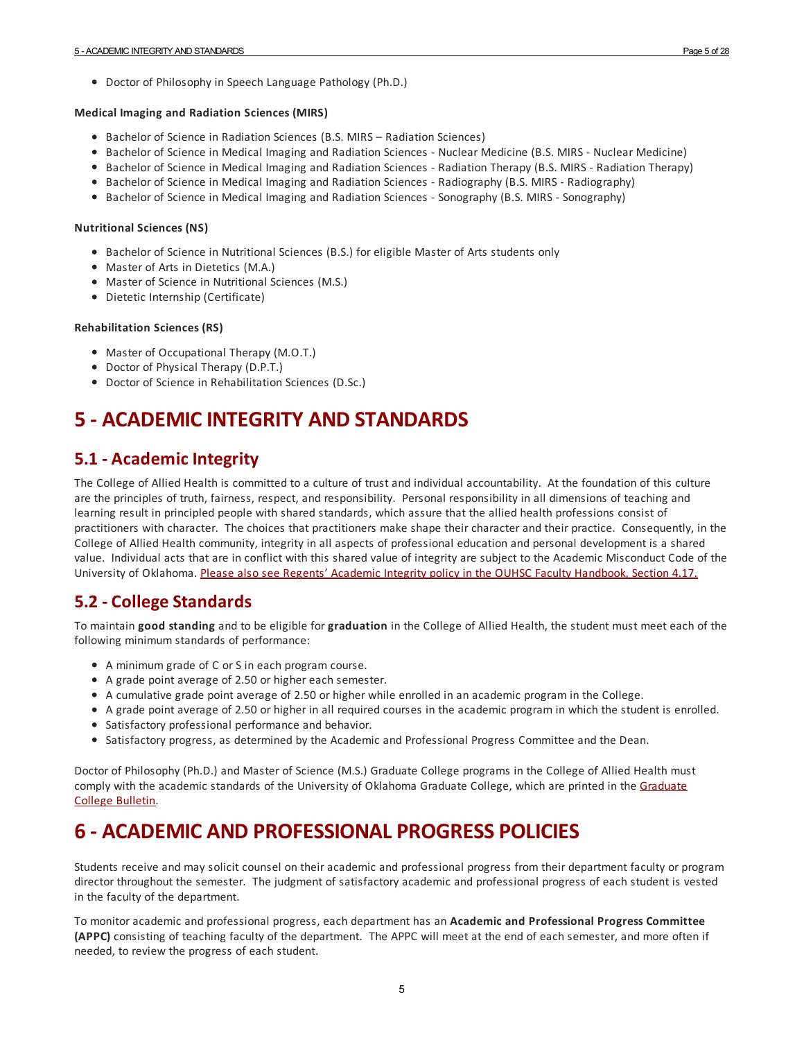Doctor of Philosophy in Speech Language Pathology (Ph.D.)

#### **Medical Imaging and Radiation Sciences (MIRS)**

- Bachelor of Science in Radiation Sciences (B.S. MIRS Radiation Sciences)
- **•** Bachelor of Science in Medical Imaging and Radiation Sciences Nuclear Medicine (B.S. MIRS Nuclear Medicine)
- **Bachelor of Science in Medical Imaging and Radiation Sciences Radiation Therapy (B.S. MIRS Radiation Therapy)**
- **Bachelor of Science in Medical Imaging and Radiation Sciences Radiography (B.S. MIRS Radiography)**
- **Bachelor of Science in Medical Imaging and Radiation Sciences Sonography (B.S. MIRS Sonography)**

#### **Nutritional Sciences (NS)**

- **Bachelor of Science in Nutritional Sciences (B.S.) for eligible Master of Arts students only**
- Master of Arts in Dietetics (M.A.)
- Master of Science in Nutritional Sciences (M.S.)
- Dietetic Internship (Certificate)

#### **Rehabilitation Sciences (RS)**

- Master of Occupational Therapy (M.O.T.)
- Doctor of Physical Therapy (D.P.T.)
- Doctor of Science in Rehabilitation Sciences (D.Sc.)

# <span id="page-4-0"></span>**5 - ACADEMIC INTEGRITY AND STANDARDS**

#### <span id="page-4-1"></span>**5.1 - Academic Integrity**

The College of Allied Health is committed to a culture of trust and individual accountability. At the foundation of this culture are the principles of truth, fairness, respect, and responsibility. Personal responsibility in all dimensions of teaching and learning result in principled people with shared standards, which assure that the allied health professions consist of practitioners with character. The choices that practitioners make shape their characterand their practice. Consequently, in the College of Allied Health community, integrity in all aspects of professional education and personal development is a shared value. Individual acts that are in conflict with this shared value of integrity are subject to the Academic Misconduct Code of the University of Oklahoma. Please also see Regents' Academic Integrity policy in the OUHSC Faculty [Handbook,](http:) Section 4.17.

#### <span id="page-4-2"></span>**5.2 - College Standards**

To maintain **good standing** and to be eligible for**graduation** in the College of Allied Health, the student must meet each of the following minimum standards of performance:

- A minimum grade of C or S in each program course.
- A grade point average of 2.50 or higher each semester.
- A cumulative grade point average of 2.50 or higher while enrolled in an academic program in the College.
- A grade point average of 2.50 or higher in all required courses in the academic program in which the student is enrolled.
- Satisfactory professional performance and behavior.
- Satisfactory progress, as determined by the Academic and Professional Progress Committee and the Dean.

Doctor of Philosophy (Ph.D.) and Master of Science (M.S.) Graduate College programs in the College of Allied Health must comply with the academic standards of the University of [Oklahoma](https://graduatecollegebulletin.ouhsc.edu/) Graduate College, which are printed in the Graduate College Bulletin.

# <span id="page-4-3"></span>**6 - ACADEMIC AND PROFESSIONAL PROGRESS POLICIES**

Students receive and may solicit counsel on their academic and professional progress from their department faculty or program director throughout the semester. The judgment of satisfactory academic and professional progress of each student is vested in the faculty of the department.

To monitoracademic and professional progress, each department has an **Academic and Professional Progress Committee (APPC)** consisting of teaching faculty of the department. The APPC will meet at the end of each semester, and more often if needed, to review the progress of each student.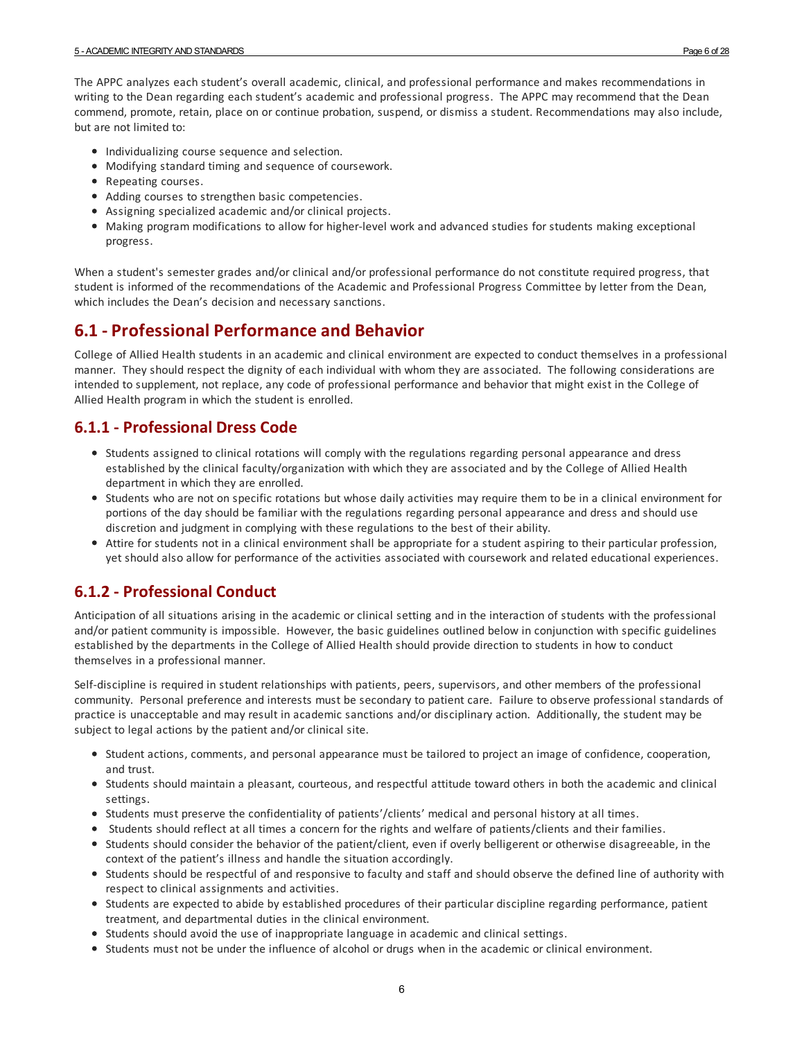The APPC analyzes each student's overall academic, clinical, and professional performance and makes recommendations in writing to the Dean regarding each student's academic and professional progress. The APPC may recommend that the Dean commend, promote, retain, place on or continue probation, suspend, or dismiss a student. Recommendations may also include, but are not limited to:

- $\bullet$  Individualizing course sequence and selection.
- Modifying standard timing and sequence of coursework.
- Repeating courses.
- Adding courses to strengthen basic competencies.
- Assigning specialized academic and/or clinical projects.
- Making program modifications to allow for higher-level work and advanced studies for students making exceptional progress.

When a student's semestergrades and/or clinical and/or professional performance do not constitute required progress, that student is informed of the recommendations of the Academic and Professional Progress Committee by letter from the Dean, which includes the Dean's decision and necessary sanctions.

#### <span id="page-5-0"></span>**6.1 - Professional Performance and Behavior**

College of Allied Health students in an academic and clinical environment are expected to conduct themselves in a professional manner. They should respect the dignity of each individual with whom they are associated. The following considerations are intended to supplement, not replace, any code of professional performance and behavior that might exist in the College of Allied Health program in which the student is enrolled.

#### <span id="page-5-1"></span>**6.1.1 - Professional Dress Code**

- Students assigned to clinical rotations will comply with the regulations regarding personal appearance and dress established by the clinical faculty/organization with which they are associated and by the College of Allied Health department in which they are enrolled.
- Students who are not on specific rotations but whose daily activities may require them to be in a clinical environment for portions of the day should be familiar with the regulations regarding personal appearance and dress and should use discretion and judgment in complying with these regulations to the best of theirability.
- Attire for students not in a clinical environment shall be appropriate fora student aspiring to their particular profession, yet should also allow for performance of the activities associated with coursework and related educational experiences.

#### <span id="page-5-2"></span>**6.1.2 - Professional Conduct**

Anticipation of all situations arising in the academic or clinical setting and in the interaction of students with the professional and/or patient community is impossible. However, the basic guidelines outlined below in conjunction with specific guidelines established by the departments in the College of Allied Health should provide direction to students in how to conduct themselves in a professional manner.

Self-discipline is required in student relationships with patients, peers, supervisors, and other members of the professional community. Personal preference and interests must be secondary to patient care. Failure to observe professional standards of practice is unacceptable and may result in academic sanctions and/or disciplinary action. Additionally, the student may be subject to legal actions by the patient and/or clinical site.

- Student actions, comments, and personal appearance must be tailored to project an image of confidence, cooperation, and trust.
- Students should maintain a pleasant, courteous, and respectful attitude toward others in both the academic and clinical settings.
- Students must preserve the confidentiality of patients'/clients' medical and personal history at all times.
- Students should reflect at all times a concern for the rights and welfare of patients/clients and their families.
- Students should consider the behavior of the patient/client, even if overly belligerent or otherwise disagreeable, in the context of the patient's illness and handle the situation accordingly.
- Students should be respectful of and responsive to faculty and staff and should observe the defined line of authority with respect to clinical assignments and activities.
- Students are expected to abide by established procedures of their particular discipline regarding performance, patient treatment, and departmental duties in the clinical environment.
- Students should avoid the use of inappropriate language in academic and clinical settings.
- Students must not be under the influence of alcohol or drugs when in the academic or clinical environment.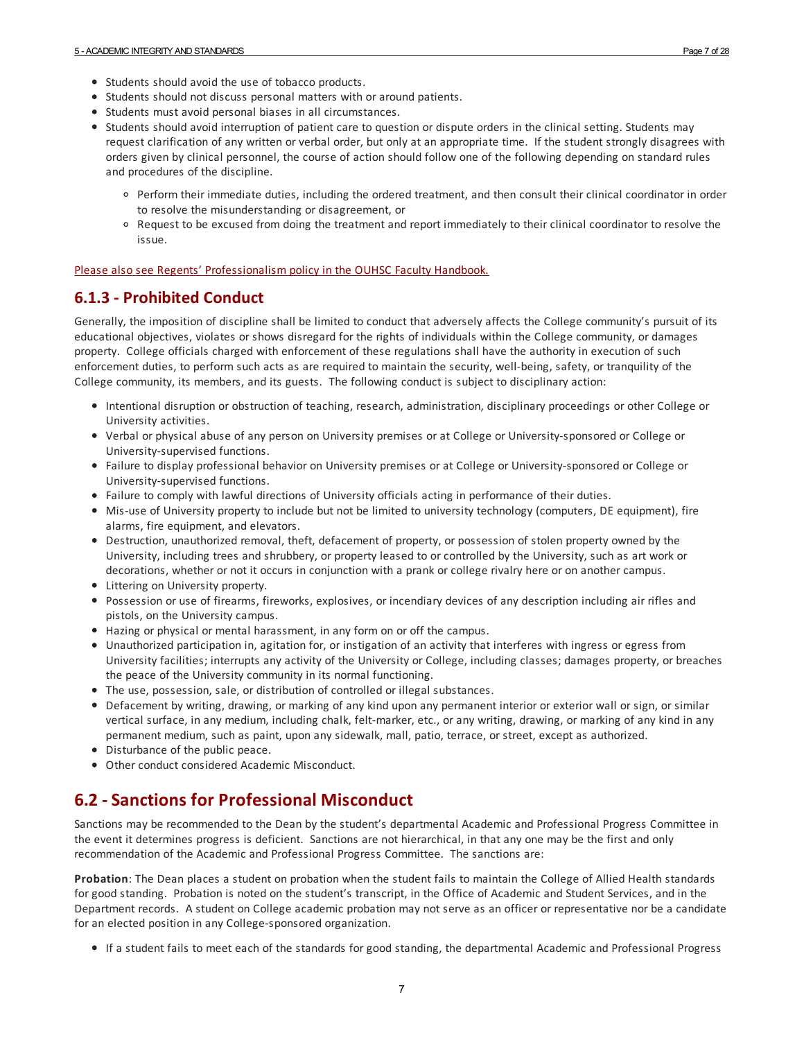- Students should avoid the use of tobacco products.
- Students should not discuss personal matters with or around patients.
- Students must avoid personal biases in all circumstances.
- Students should avoid interruption of patient care to question or dispute orders in the clinical setting. Students may request clarification of any written or verbal order, but only at an appropriate time. If the student strongly disagrees with orders given by clinical personnel, the course of action should follow one of the following depending on standard rules and procedures of the discipline.
	- Perform their immediate duties, including the ordered treatment, and then consult their clinical coordinator in order to resolve the misunderstanding or disagreement, or
	- Request to be excused from doing the treatment and report immediately to their clinical coordinator to resolve the issue.

#### Please also see Regents' [Professionalism](http://www.ouhsc.edu/provost/documents/FacultyHandbookOUHSC.pdf) policy in the OUHSC Faculty Handbook.

#### <span id="page-6-0"></span>**6.1.3 - Prohibited Conduct**

Generally, the imposition of discipline shall be limited to conduct that adversely affects the College community's pursuit of its educational objectives, violates or shows disregard for the rights of individuals within the College community, or damages property. College officials charged with enforcement of these regulations shall have the authority in execution of such enforcement duties, to perform such acts as are required to maintain the security, well-being, safety, or tranquility of the College community, its members, and its guests. The following conduct is subject to disciplinary action:

- Intentional disruption or obstruction of teaching, research, administration, disciplinary proceedings or other College or University activities.
- Verbal or physical abuse of any person on University premises or at College or University-sponsored or College or University-supervised functions.
- Failure to display professional behavior on University premises orat College or University-sponsored or College or University-supervised functions.
- Failure to comply with lawful directions of University officials acting in performance of their duties.
- Mis-use of University property to include but not be limited to university technology (computers, DE equipment), fire alarms, fire equipment, and elevators.
- Destruction, unauthorized removal, theft, defacement of property, or possession of stolen property owned by the University, including trees and shrubbery, or property leased to or controlled by the University, such as art work or decorations, whether or not it occurs in conjunction with a prank or college rivalry here or on another campus.
- Littering on University property.
- Possession or use of firearms, fireworks, explosives, or incendiary devices of any description including air rifles and pistols, on the University campus.
- Hazing or physical or mental harassment, in any form on or off the campus.
- Unauthorized participation in, agitation for, or instigation of an activity that interferes with ingress or egress from University facilities; interrupts any activity of the University or College, including classes; damages property, or breaches the peace of the University community in its normal functioning.
- The use, possession, sale, or distribution of controlled or illegal substances.
- Defacement by writing, drawing, or marking of any kind upon any permanent interior or exterior wall or sign, or similar vertical surface, in any medium, including chalk, felt-marker, etc., orany writing, drawing, or marking of any kind in any permanent medium, such as paint, upon any sidewalk, mall, patio, terrace, or street, except as authorized.
- Disturbance of the public peace.
- Other conduct considered Academic Misconduct.

#### <span id="page-6-1"></span>**6.2 -Sanctions for Professional Misconduct**

Sanctions may be recommended to the Dean by the student's departmental Academic and Professional Progress Committee in the event it determines progress is deficient. Sanctions are not hierarchical, in that any one may be the first and only recommendation of the Academic and Professional Progress Committee. The sanctions are:

**Probation**: The Dean places a student on probation when the student fails to maintain the College of Allied Health standards forgood standing. Probation is noted on the student's transcript, in the Office of Academic and Student Services, and in the Department records. A student on College academic probation may not serve as an officer or representative nor be a candidate for an elected position in any College-sponsored organization.

If a student fails to meet each of the standards forgood standing, the departmental Academic and Professional Progress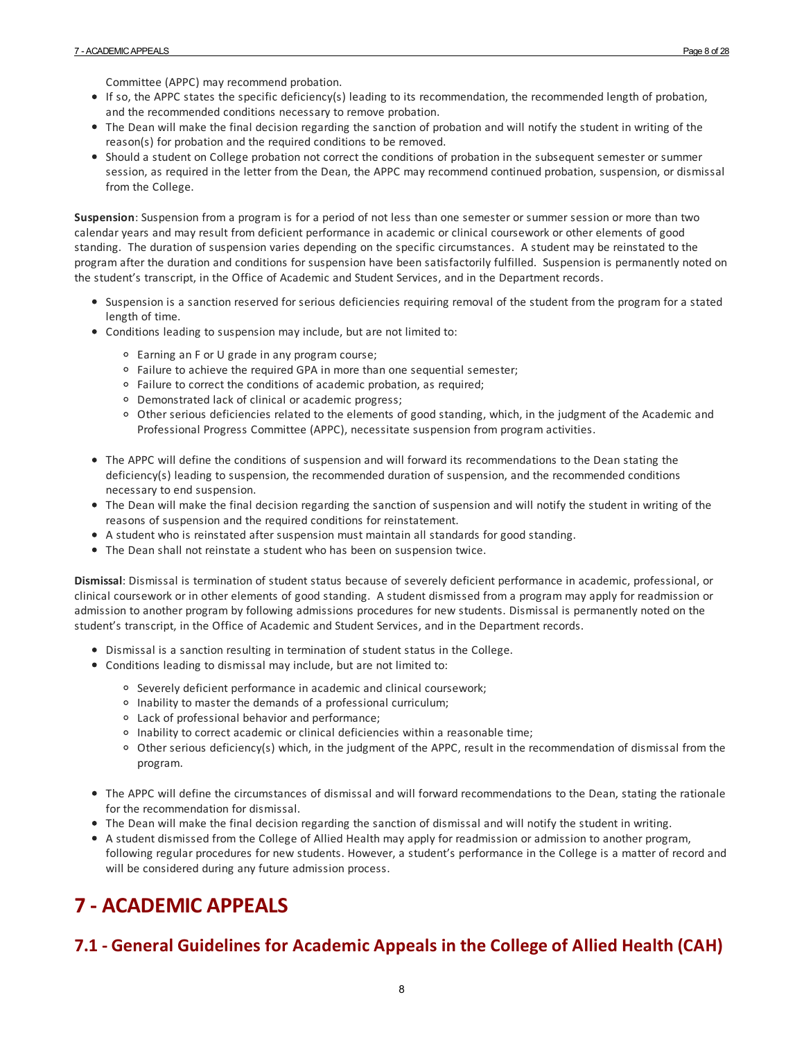Committee (APPC) may recommend probation.

- If so, the APPC states the specific deficiency(s) leading to its recommendation, the recommended length of probation, and the recommended conditions necessary to remove probation.
- The Dean will make the final decision regarding the sanction of probation and will notify the student in writing of the reason(s) for probation and the required conditions to be removed.
- Should a student on College probation not correct the conditions of probation in the subsequent semester or summer session, as required in the letter from the Dean, the APPC may recommend continued probation, suspension, or dismissal from the College.

**Suspension**: Suspension from a program is fora period of not less than one semester or summer session or more than two calendar years and may result from deficient performance in academic or clinical coursework or other elements of good standing. The duration of suspension varies depending on the specific circumstances. A student may be reinstated to the program after the duration and conditions for suspension have been satisfactorily fulfilled. Suspension is permanently noted on the student's transcript, in the Office of Academic and Student Services, and in the Department records.

- Suspension is a sanction reserved for serious deficiencies requiring removal of the student from the program fora stated length of time.
- Conditions leading to suspension may include, but are not limited to:
	- Earning an F or U grade in any program course;
	- $\circ$  Failure to achieve the required GPA in more than one sequential semester;
	- Failure to correct the conditions of academic probation, as required;
	- <sup>o</sup> Demonstrated lack of clinical or academic progress;
	- Other serious deficiencies related to the elements of good standing, which, in the judgment of the Academic and Professional Progress Committee (APPC), necessitate suspension from program activities.
- The APPC will define the conditions of suspension and will forward its recommendations to the Dean stating the deficiency(s) leading to suspension, the recommended duration of suspension, and the recommended conditions necessary to end suspension.
- The Dean will make the final decision regarding the sanction of suspension and will notify the student in writing of the reasons of suspension and the required conditions for reinstatement.
- A student who is reinstated after suspension must maintain all standards forgood standing.
- The Dean shall not reinstate a student who has been on suspension twice.

**Dismissal**: Dismissal is termination of student status because of severely deficient performance in academic, professional, or clinical coursework or in other elements of good standing. A student dismissed from a program may apply for readmission or admission to another program by following admissions procedures for new students. Dismissal is permanently noted on the student's transcript, in the Office of Academic and Student Services, and in the Department records.

- Dismissal is a sanction resulting in termination of student status in the College.
- Conditions leading to dismissal may include, but are not limited to:
	- Severely deficient performance in academic and clinical coursework;
	- <sup>o</sup> Inability to master the demands of a professional curriculum;
	- Lack of professional behaviorand performance;
	- <sup>o</sup> Inability to correct academic or clinical deficiencies within a reasonable time;
	- Other serious deficiency(s) which, in the judgment of the APPC, result in the recommendation of dismissal from the program.
- The APPC will define the circumstances of dismissal and will forward recommendations to the Dean, stating the rationale for the recommendation for dismissal.
- The Dean will make the final decision regarding the sanction of dismissal and will notify the student in writing.
- A student dismissed from the College of Allied Health may apply for readmission oradmission to another program, following regular procedures for new students. However, a student's performance in the College is a matter of record and will be considered during any future admission process.

# <span id="page-7-0"></span>**7 - ACADEMIC APPEALS**

## <span id="page-7-1"></span>**7.1 - General Guidelines for Academic Appeals in the College of Allied Health (CAH)**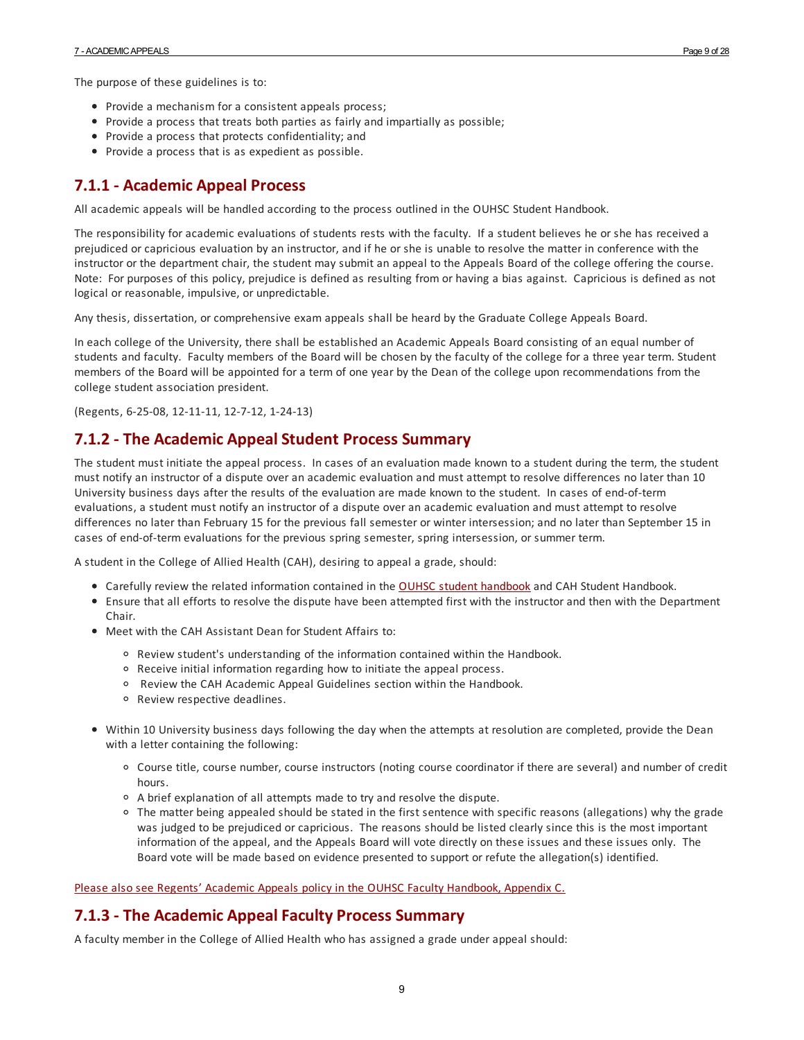The purpose of these guidelines is to:

- Provide a mechanism for a consistent appeals process;
- Provide a process that treats both parties as fairly and impartially as possible;
- Provide a process that protects confidentiality; and
- Provide a process that is as expedient as possible.

#### <span id="page-8-0"></span>**7.1.1 - Academic Appeal Process**

All academic appeals will be handled according to the process outlined in the OUHSC Student Handbook.

The responsibility foracademic evaluations of students rests with the faculty. If a student believes he or she has received a prejudiced or capricious evaluation by an instructor, and if he or she is unable to resolve the matter in conference with the instructor or the department chair, the student may submit an appeal to the Appeals Board of the college offering the course. Note: For purposes of this policy, prejudice is defined as resulting from or having a bias against. Capricious is defined as not logical or reasonable, impulsive, or unpredictable.

Any thesis, dissertation, or comprehensive exam appeals shall be heard by the Graduate College Appeals Board.

In each college of the University, there shall be established an Academic Appeals Board consisting of an equal number of students and faculty. Faculty members of the Board will be chosen by the faculty of the college fora three year term. Student members of the Board will be appointed fora term of one year by the Dean of the college upon recommendations from the college student association president.

(Regents, 6-25-08, 12-11-11, 12-7-12, 1-24-13)

#### <span id="page-8-1"></span>**7.1.2 - The Academic AppealStudent Process Summary**

The student must initiate the appeal process. In cases of an evaluation made known to a student during the term, the student must notify an instructor of a dispute overan academic evaluation and must attempt to resolve differences no later than 10 University business days after the results of the evaluation are made known to the student. In cases of end-of-term evaluations, a student must notify an instructor of a dispute overan academic evaluation and must attempt to resolve differences no later than February 15 for the previous fall semester or winter intersession; and no later than September 15 in cases of end-of-term evaluations for the previous spring semester, spring intersession, or summer term.

A student in the College of Allied Health (CAH), desiring to appeal a grade, should:

- Carefully review the related information contained in the OUHSC student [handbook](https://studenthandbook.ouhsc.edu/) and CAH Student Handbook.
- Ensure that all efforts to resolve the dispute have been attempted first with the instructorand then with the Department Chair.
- Meet with the CAH Assistant Dean for Student Affairs to:
	- $\circ$  Review student's understanding of the information contained within the Handbook.
	- Receive initial information regarding how to initiate the appeal process.
	- Review the CAH Academic Appeal Guidelines section within the Handbook.
	- Review respective deadlines.
- Within 10 University business days following the day when the attempts at resolution are completed, provide the Dean with a letter containing the following:
	- Course title, course number, course instructors (noting course coordinator if there are several) and number of credit hours.
	- A brief explanation of all attempts made to try and resolve the dispute.
	- The matter being appealed should be stated in the first sentence with specific reasons (allegations) why the grade was judged to be prejudiced or capricious. The reasons should be listed clearly since this is the most important information of the appeal, and the Appeals Board will vote directly on these issues and these issues only. The Board vote will be made based on evidence presented to support or refute the allegation(s) identified.

Please also see Regents' Academic Appeals policy in the OUHSC Faculty [Handbook,](http://www.ouhsc.edu/provost/documents/FacultyHandbookOUHSC.pdf) Appendix C.

#### <span id="page-8-2"></span>**7.1.3 - The Academic AppealFaculty Process Summary**

A faculty member in the College of Allied Health who has assigned a grade underappeal should: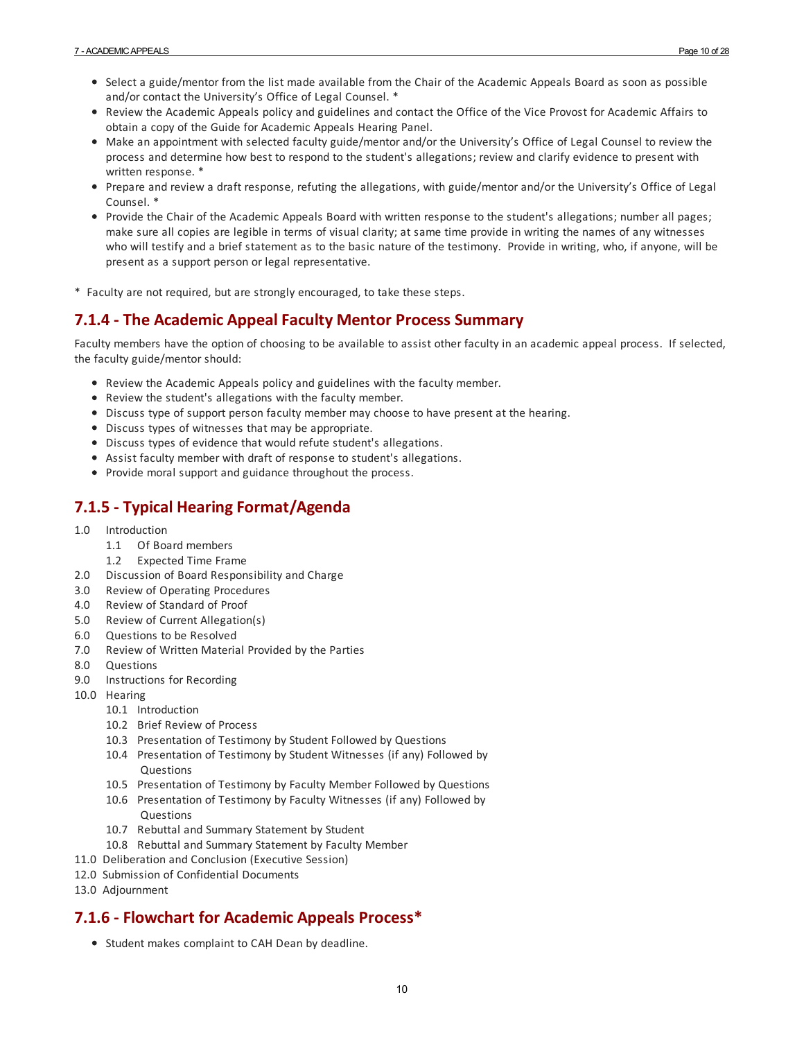- Select a guide/mentor from the list made available from the Chair of the Academic Appeals Board as soon as possible and/or contact the University's Office of Legal Counsel. \*
- Review the Academic Appeals policy and guidelines and contact the Office of the Vice Provost for Academic Affairs to obtain a copy of the Guide for Academic Appeals Hearing Panel.
- Make an appointment with selected faculty guide/mentorand/or the University's Office of Legal Counsel to review the process and determine how best to respond to the student's allegations; review and clarify evidence to present with written response. \*
- Prepare and review a draft response, refuting the allegations, with guide/mentorand/or the University's Office of Legal Counsel. \*
- Provide the Chair of the Academic Appeals Board with written response to the student's allegations; numberall pages; make sure all copies are legible in terms of visual clarity; at same time provide in writing the names of any witnesses who will testify and a brief statement as to the basic nature of the testimony. Provide in writing, who, if anyone, will be present as a support person or legal representative.
- \* Faculty are not required, but are strongly encouraged, to take these steps.

#### <span id="page-9-0"></span>**7.1.4 - The Academic AppealFaculty Mentor Process Summary**

Faculty members have the option of choosing to be available to assist other faculty in an academic appeal process. If selected, the faculty guide/mentor should:

- Review the Academic Appeals policy and guidelines with the faculty member.
- Review the student's allegations with the faculty member.
- Discuss type of support person faculty member may choose to have present at the hearing.
- Discuss types of witnesses that may be appropriate.
- Discuss types of evidence that would refute student's allegations.
- Assist faculty member with draft of response to student's allegations.
- Provide moral support and guidance throughout the process.

## <span id="page-9-1"></span>**7.1.5 - Typical HearingFormat/Agenda**

- 1.0 Introduction
	- 1.1 Of Board members
	- 1.2 Expected Time Frame
- 2.0 Discussion of Board Responsibility and Charge
- 3.0 Review of Operating Procedures
- 4.0 Review of Standard of Proof
- 5.0 Review of Current Allegation(s)
- 6.0 Questions to be Resolved
- 7.0 Review of Written Material Provided by the Parties
- 8.0 Questions
- 9.0 Instructions for Recording
- 10.0 Hearing
	- 10.1 Introduction
	- 10.2 Brief Review of Process
	- 10.3 Presentation of Testimony by Student Followed by Questions
	- 10.4 Presentation of Testimony by Student Witnesses (if any) Followed by Questions
	- 10.5 Presentation of Testimony by Faculty Member Followed by Questions
	- 10.6 Presentation of Testimony by Faculty Witnesses (if any) Followed by **Questions**
	- 10.7 Rebuttal and Summary Statement by Student
	- 10.8 Rebuttal and Summary Statement by Faculty Member
- 11.0 Deliberation and Conclusion (Executive Session)
- 12.0 Submission of Confidential Documents
- 13.0 Adjournment

#### <span id="page-9-2"></span>**7.1.6 - Flowchart for Academic Appeals Process\***

• Student makes complaint to CAH Dean by deadline.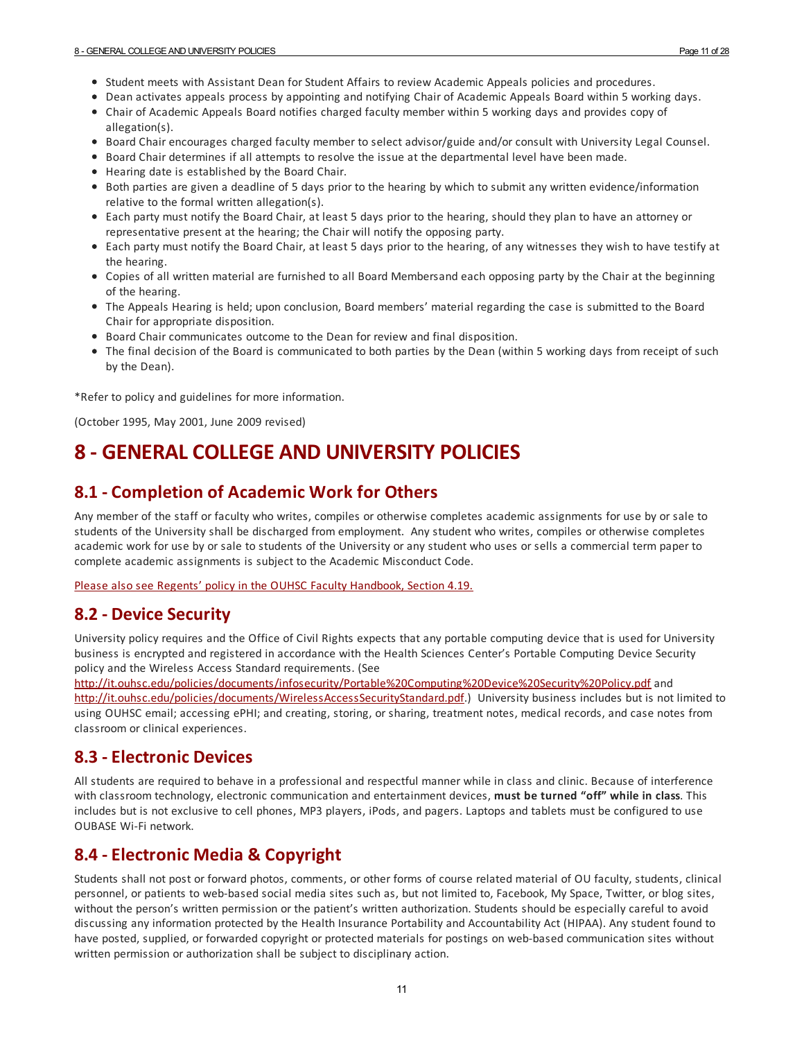- Student meets with Assistant Dean for Student Affairs to review Academic Appeals policies and procedures.
- Dean activates appeals process by appointing and notifying Chair of Academic Appeals Board within 5 working days.
- Chair of Academic Appeals Board notifies charged faculty member within 5 working days and provides copy of allegation(s).
- Board Chair encourages charged faculty member to select advisor/guide and/or consult with University Legal Counsel.
- Board Chair determines if all attempts to resolve the issue at the departmental level have been made.
- Hearing date is established by the Board Chair.
- Both parties are given a deadline of 5 days prior to the hearing by which to submit any written evidence/information relative to the formal written allegation(s).
- Each party must notify the Board Chair, at least 5 days prior to the hearing, should they plan to have an attorney or representative present at the hearing; the Chair will notify the opposing party.
- Each party must notify the Board Chair, at least 5 days prior to the hearing, of any witnesses they wish to have testify at the hearing.
- Copies of all written material are furnished to all Board Membersand each opposing party by the Chairat the beginning of the hearing.
- The Appeals Hearing is held; upon conclusion, Board members' material regarding the case is submitted to the Board Chair for appropriate disposition.
- Board Chair communicates outcome to the Dean for review and final disposition.
- The final decision of the Board is communicated to both parties by the Dean (within 5 working days from receipt of such by the Dean).

\*Refer to policy and guidelines for more information.

(October 1995, May 2001, June 2009 revised)

# <span id="page-10-0"></span>**8 - GENERAL COLLEGE AND UNIVERSITY POLICIES**

#### <span id="page-10-1"></span>**8.1 - Completion of Academic Work for Others**

Any member of the staff or faculty who writes, compiles or otherwise completes academic assignments for use by or sale to students of the University shall be discharged from employment. Any student who writes, compiles or otherwise completes academic work for use by or sale to students of the University orany student who uses or sells a commercial term paper to complete academic assignments is subject to the Academic Misconduct Code.

Please also see Regents' policy in the OUHSC Faculty [Handbook,](https://provost.ouhsc.edu/Portals/1037/assets/documents/FacultyHandbookOUHSC.pdf?ver=2018-10-30-111311-860) Section 4.19.

#### <span id="page-10-2"></span>**8.2 - Device Security**

University policy requires and the Office of Civil Rights expects that any portable computing device that is used for University business is encrypted and registered in accordance with the Health Sciences Center's Portable Computing Device Security policy and the Wireless Access Standard requirements. (See

[http://it.ouhsc.edu/policies/documents/infosecurity/Portable%20Computing%20Device%20Security%20Policy.pdf](http://it.ouhsc.edu/policies/documents/infosecurity/Portable Computing Device Security Policy.pdf) and [http://it.ouhsc.edu/policies/documents/WirelessAccessSecurityStandard.pdf.](http://it.ouhsc.edu/policies/documents/WirelessAccessSecurityStandard.pdf)) University business includes but is not limited to using OUHSC email; accessing ePHI; and creating, storing, or sharing, treatment notes, medical records, and case notes from classroom or clinical experiences.

#### <span id="page-10-3"></span>**8.3 -Electronic Devices**

All students are required to behave in a professional and respectful manner while in class and clinic. Because of interference with classroom technology, electronic communication and entertainment devices, **must be turned "off" while in class**. This includes but is not exclusive to cell phones, MP3 players, iPods, and pagers. Laptops and tablets must be configured to use OUBASE Wi-Fi network.

#### <span id="page-10-4"></span>**8.4 -Electronic Media & Copyright**

Students shall not post or forward photos, comments, or other forms of course related material of OU faculty, students, clinical personnel, or patients to web-based social media sites such as, but not limited to, Facebook, My Space, Twitter, or blog sites, without the person's written permission or the patient's written authorization. Students should be especially careful to avoid discussing any information protected by the Health Insurance Portability and Accountability Act (HIPAA). Any student found to have posted, supplied, or forwarded copyright or protected materials for postings on web-based communication sites without written permission or authorization shall be subject to disciplinary action.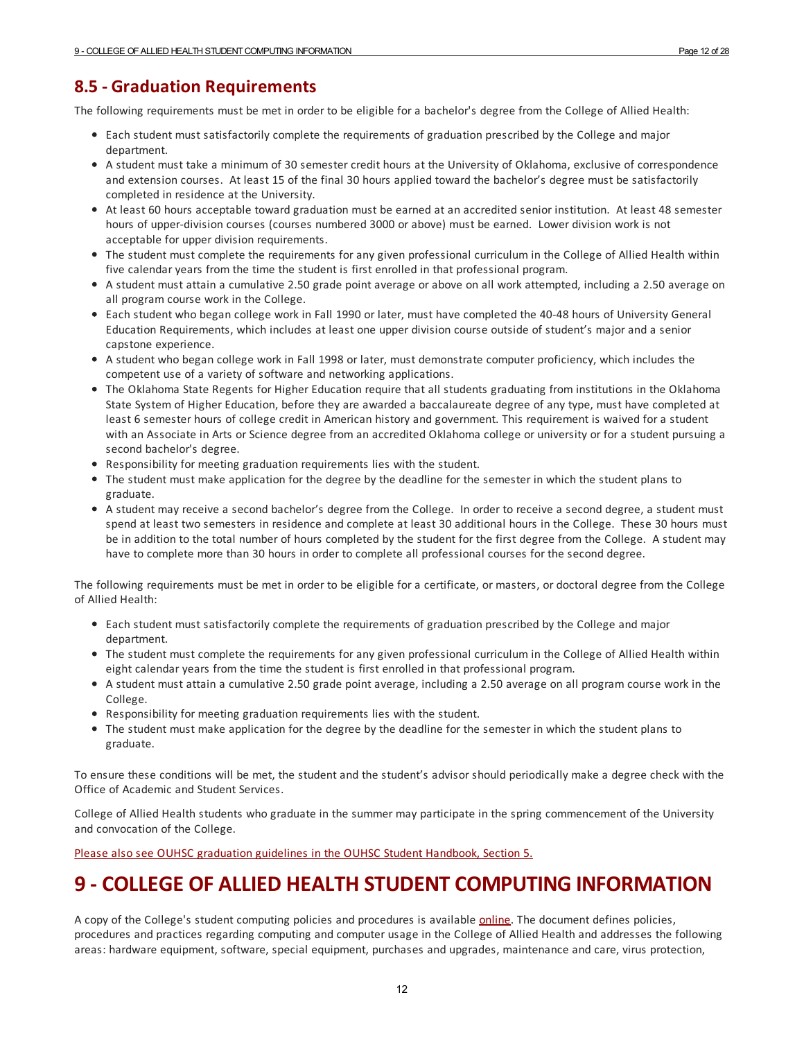## <span id="page-11-0"></span>**8.5 - Graduation Requirements**

The following requirements must be met in order to be eligible fora bachelor's degree from the College of Allied Health:

- Each student must satisfactorily complete the requirements of graduation prescribed by the College and major department.
- A student must take a minimum of 30 semester credit hours at the University of Oklahoma, exclusive of correspondence and extension courses. At least 15 of the final 30 hours applied toward the bachelor's degree must be satisfactorily completed in residence at the University.
- At least 60 hours acceptable toward graduation must be earned at an accredited senior institution. At least 48 semester hours of upper-division courses (courses numbered 3000 orabove) must be earned. Lower division work is not acceptable for upper division requirements.
- The student must complete the requirements forany given professional curriculum in the College of Allied Health within five calendar years from the time the student is first enrolled in that professional program.
- A student must attain a cumulative 2.50 grade point average orabove on all work attempted, including a 2.50 average on all program course work in the College.
- Each student who began college work in Fall 1990 or later, must have completed the 40-48 hours of University General Education Requirements, which includes at least one upper division course outside of student's majorand a senior capstone experience.
- A student who began college work in Fall 1998 or later, must demonstrate computer proficiency, which includes the competent use of a variety of software and networking applications.
- The Oklahoma State Regents for Higher Education require that all students graduating from institutions in the Oklahoma State System of Higher Education, before they are awarded a baccalaureate degree of any type, must have completed at least 6 semester hours of college credit in American history and government. This requirement is waived fora student with an Associate in Arts or Science degree from an accredited Oklahoma college or university or fora student pursuing a second bachelor's degree.
- Responsibility for meeting graduation requirements lies with the student.
- The student must make application for the degree by the deadline for the semester in which the student plans to graduate.
- A student may receive a second bachelor's degree from the College. In order to receive a second degree, a student must spend at least two semesters in residence and complete at least 30 additional hours in the College. These 30 hours must be in addition to the total number of hours completed by the student for the first degree from the College. A student may have to complete more than 30 hours in order to complete all professional courses for the second degree.

The following requirements must be met in order to be eligible fora certificate, or masters, or doctoral degree from the College of Allied Health:

- Each student must satisfactorily complete the requirements of graduation prescribed by the College and major department.
- The student must complete the requirements forany given professional curriculum in the College of Allied Health within eight calendar years from the time the student is first enrolled in that professional program.
- A student must attain a cumulative 2.50 grade point average, including a 2.50 average on all program course work in the College.
- Responsibility for meeting graduation requirements lies with the student.
- The student must make application for the degree by the deadline for the semester in which the student plans to graduate.

To ensure these conditions will be met, the student and the student's advisor should periodically make a degree check with the Office of Academic and Student Services.

College of Allied Health students who graduate in the summer may participate in the spring commencement of the University and convocation of the College.

Please also see OUHSC [graduation](https://studenthandbook.ouhsc.edu/hbSections.aspx?ID=401) guidelines in the OUHSC Student Handbook, Section 5.

# <span id="page-11-1"></span>**9 - COLLEGE OF ALLIED HEALTH STUDENT COMPUTING INFORMATION**

A copy of the College's student computing policies and procedures is available [online](http://alliedhealth.ouhsc.edu/CurrentStudents/HelpfulResources.aspx#1310051-computer-resources). The document defines policies, procedures and practices regarding computing and computer usage in the College of Allied Health and addresses the following areas: hardware equipment, software, special equipment, purchases and upgrades, maintenance and care, virus protection,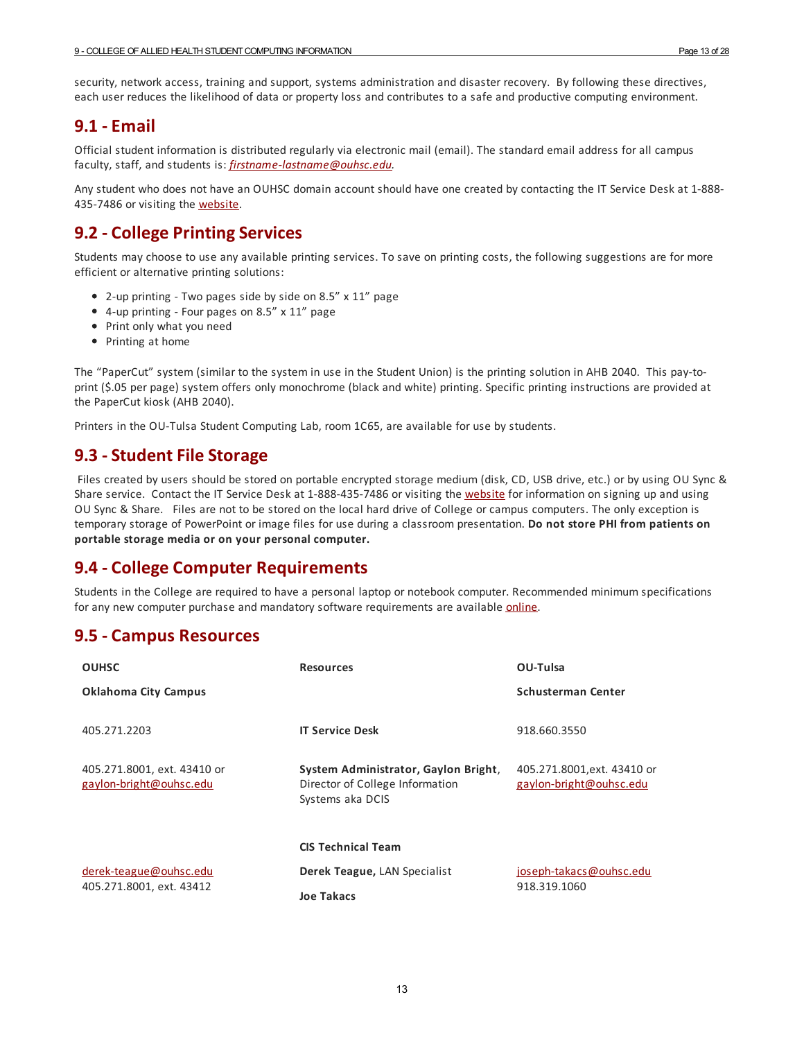security, network access, training and support, systems administration and disaster recovery. By following these directives, each user reduces the likelihood of data or property loss and contributes to a safe and productive computing environment.

#### <span id="page-12-0"></span>**9.1 -Email**

Official student information is distributed regularly via electronic mail (email). The standard email address forall campus faculty, staff, and students is: *[firstname-lastname@ouhsc.edu](mailto:firstname-lastname@ouhsc.edu).*

Any student who does not have an OUHSC domain account should have one created by contacting the IT Service Desk at 1-888- 435-7486 or visiting the [website](http://it.ouhsc.edu/services/servicedesk/).

#### <span id="page-12-1"></span>**9.2 - College Printing Services**

Students may choose to use any available printing services. To save on printing costs, the following suggestions are for more efficient or alternative printing solutions:

- 2-up printing Two pages side by side on 8.5" x 11" page
- 4-up printing Four pages on 8.5" x 11" page
- Print only what you need
- Printing at home

The "PaperCut" system (similar to the system in use in the Student Union) is the printing solution in AHB 2040. This pay-toprint (\$.05 per page) system offers only monochrome (black and white) printing. Specific printing instructions are provided at the PaperCut kiosk (AHB 2040).

Printers in the OU-Tulsa Student Computing Lab, room 1C65, are available for use by students.

#### <span id="page-12-2"></span>**9.3 - Student File Storage**

Files created by users should be stored on portable encrypted storage medium (disk, CD, USB drive, etc.) or by using OU Sync & Share service. Contact the IT Service Desk at 1-888-435-7486 or visiting the [website](http://it.ouhsc.edu/services/servicedesk/) for information on signing up and using OU Sync & Share. Files are not to be stored on the local hard drive of College or campus computers. The only exception is temporary storage of PowerPoint or image files for use during a classroom presentation. **Do not store PHI from patients on portable storage media or on your personal computer.**

#### <span id="page-12-3"></span>**9.4 - College Computer Requirements**

Students in the College are required to have a personal laptop or notebook computer. Recommended minimum specifications for any new computer purchase and mandatory software requirements are available **[online](http://alliedhealth.ouhsc.edu/CurrentStudents/HelpfulResources.aspx#1310051-computer-resources)**.

#### <span id="page-12-4"></span>**9.5 - Campus Resources**

| <b>OUHSC</b>                                           | <b>Resources</b>                                                                            | OU-Tulsa                                              |
|--------------------------------------------------------|---------------------------------------------------------------------------------------------|-------------------------------------------------------|
| <b>Oklahoma City Campus</b>                            |                                                                                             | <b>Schusterman Center</b>                             |
| 405.271.2203                                           | <b>IT Service Desk</b>                                                                      | 918.660.3550                                          |
| 405.271.8001, ext. 43410 or<br>gaylon-bright@ouhsc.edu | System Administrator, Gaylon Bright,<br>Director of College Information<br>Systems aka DCIS | 405.271.8001,ext. 43410 or<br>gaylon-bright@ouhsc.edu |
|                                                        | <b>CIS Technical Team</b>                                                                   |                                                       |
| derek-teague@ouhsc.edu<br>405.271.8001, ext. 43412     | Derek Teague, LAN Specialist                                                                | joseph-takacs@ouhsc.edu                               |
|                                                        | <b>Joe Takacs</b>                                                                           | 918.319.1060                                          |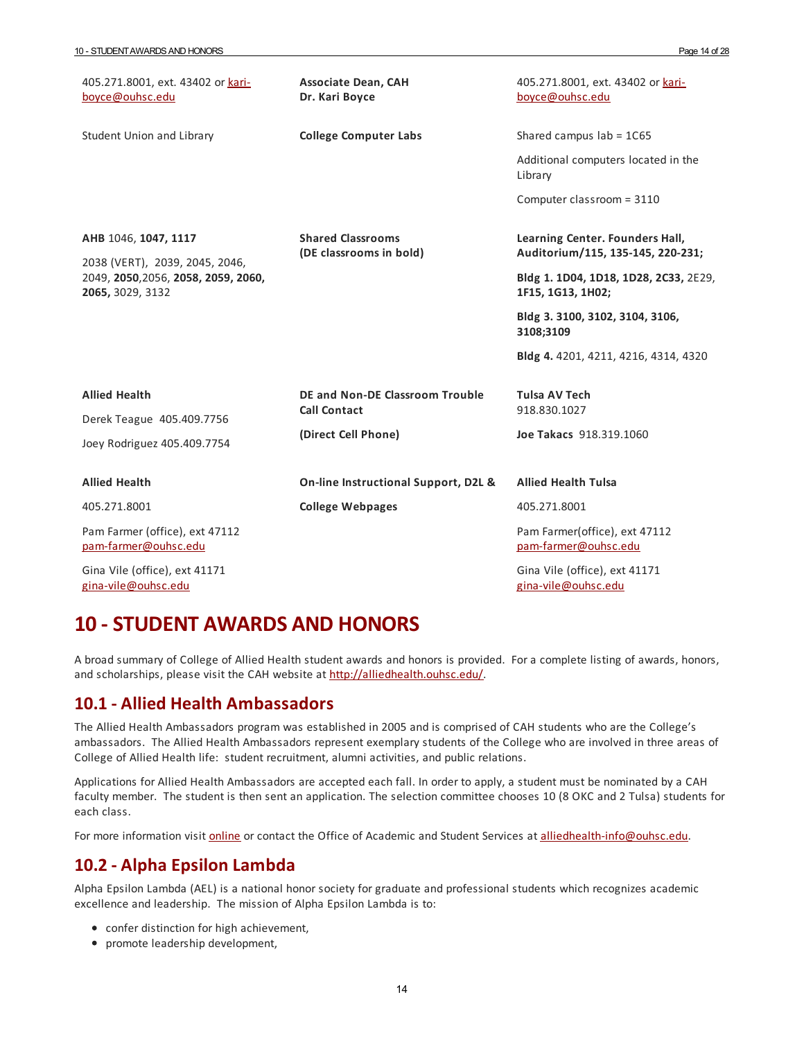| 405.271.8001, ext. 43402 or kari-<br>boyce@ouhsc.edu                                                              | <b>Associate Dean, CAH</b><br>Dr. Kari Boyce           | 405.271.8001, ext. 43402 or kari-<br>boyce@ouhsc.edu                 |
|-------------------------------------------------------------------------------------------------------------------|--------------------------------------------------------|----------------------------------------------------------------------|
| Student Union and Library                                                                                         | <b>College Computer Labs</b>                           | Shared campus $lab = 1C65$                                           |
|                                                                                                                   |                                                        | Additional computers located in the<br>Library                       |
|                                                                                                                   |                                                        | Computer classroom = 3110                                            |
| AHB 1046, 1047, 1117<br>2038 (VERT), 2039, 2045, 2046,<br>2049, 2050, 2056, 2058, 2059, 2060,<br>2065, 3029, 3132 | <b>Shared Classrooms</b><br>(DE classrooms in bold)    | Learning Center. Founders Hall,<br>Auditorium/115, 135-145, 220-231; |
|                                                                                                                   |                                                        | Bldg 1. 1D04, 1D18, 1D28, 2C33, 2E29,<br>1F15, 1G13, 1H02;           |
|                                                                                                                   |                                                        | Bldg 3. 3100, 3102, 3104, 3106,<br>3108;3109                         |
|                                                                                                                   |                                                        | Bldg 4. 4201, 4211, 4216, 4314, 4320                                 |
| <b>Allied Health</b>                                                                                              | DE and Non-DE Classroom Trouble<br><b>Call Contact</b> | <b>Tulsa AV Tech</b><br>918.830.1027                                 |
| Derek Teague 405.409.7756<br>Joey Rodriguez 405.409.7754                                                          | (Direct Cell Phone)                                    | Joe Takacs 918.319.1060                                              |
| <b>Allied Health</b>                                                                                              | On-line Instructional Support, D2L &                   | <b>Allied Health Tulsa</b>                                           |
| 405.271.8001                                                                                                      | <b>College Webpages</b>                                | 405.271.8001                                                         |
| Pam Farmer (office), ext 47112<br>pam-farmer@ouhsc.edu                                                            |                                                        | Pam Farmer(office), ext 47112<br>pam-farmer@ouhsc.edu                |
| Gina Vile (office), ext 41171<br>gina-vile@ouhsc.edu                                                              |                                                        | Gina Vile (office), ext 41171<br>gina-vile@ouhsc.edu                 |

## <span id="page-13-0"></span>**10 -STUDENT AWARDS AND HONORS**

A broad summary of College of Allied Health student awards and honors is provided. Fora complete listing of awards, honors, and scholarships, please visit the CAH website at <http://alliedhealth.ouhsc.edu/>.

#### <span id="page-13-1"></span>**10.1 - Allied Health Ambassadors**

The Allied Health Ambassadors program was established in 2005 and is comprised of CAH students who are the College's ambassadors. The Allied Health Ambassadors represent exemplary students of the College who are involved in three areas of College of Allied Health life: student recruitment, alumni activities, and public relations.

Applications for Allied Health Ambassadors are accepted each fall. In order to apply, a student must be nominated by a CAH faculty member. The student is then sent an application. The selection committee chooses 10 (8 OKC and 2 Tulsa) students for each class.

For more information visit [online](http://alliedhealth.ouhsc.edu/CurrentStudents/StudentOrganizations/StudentAmbassadors.aspx) or contact the Office of Academic and Student Services at [alliedhealth-info@ouhsc.edu](mailto:alliedhealth-info@ouhsc.edu).

#### <span id="page-13-2"></span>**10.2 - Alpha Epsilon Lambda**

Alpha Epsilon Lambda (AEL) is a national honor society forgraduate and professional students which recognizes academic excellence and leadership. The mission of Alpha Epsilon Lambda is to:

- confer distinction for high achievement,
- promote leadership development,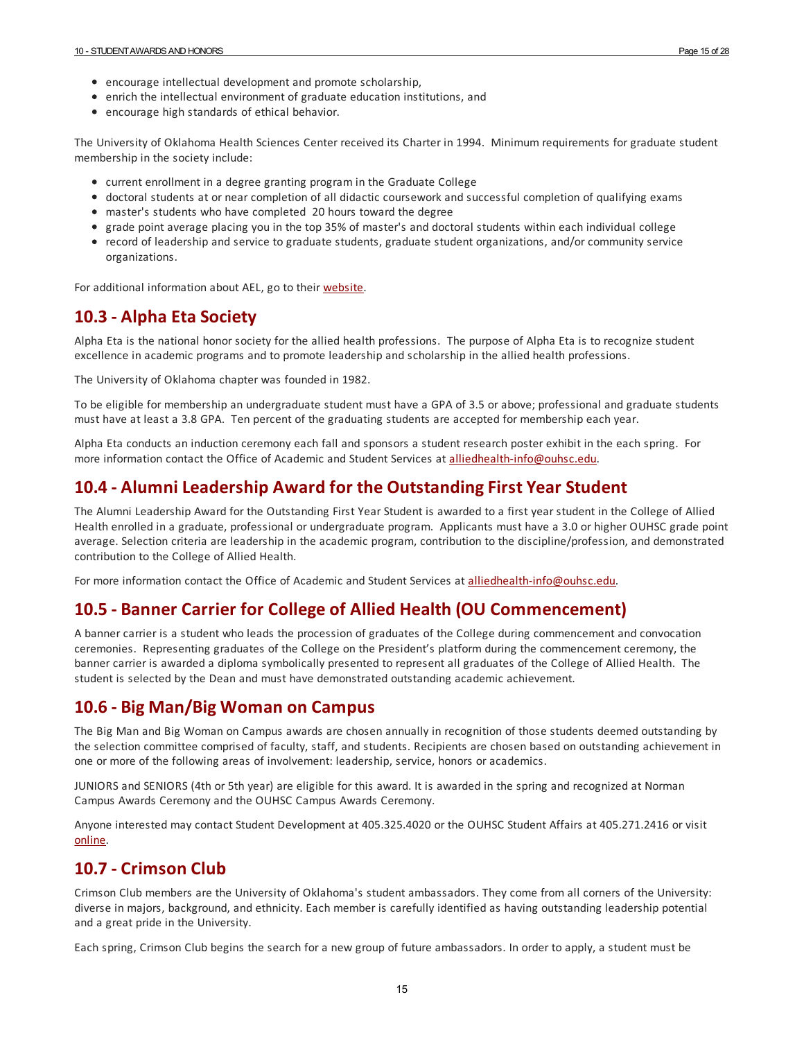- encourage intellectual development and promote scholarship,
- enrich the intellectual environment of graduate education institutions, and
- encourage high standards of ethical behavior.

The University of Oklahoma Health Sciences Center received its Charter in 1994. Minimum requirements forgraduate student membership in the society include:

- current enrollment in a degree granting program in the Graduate College
- doctoral students at or near completion of all didactic coursework and successful completion of qualifying exams
- master's students who have completed 20 hours toward the degree
- grade point average placing you in the top 35% of master's and doctoral students within each individual college
- record of leadership and service to graduate students, graduate student organizations, and/or community service organizations.

For additional information about AEL, go to their [website](http://ael.gradschools.org/?page=membership).

#### <span id="page-14-0"></span>**10.3 - Alpha Eta Society**

Alpha Eta is the national honor society for the allied health professions. The purpose of Alpha Eta is to recognize student excellence in academic programs and to promote leadership and scholarship in the allied health professions.

The University of Oklahoma chapter was founded in 1982.

To be eligible for membership an undergraduate student must have a GPA of 3.5 orabove; professional and graduate students must have at least a 3.8 GPA. Ten percent of the graduating students are accepted for membership each year.

Alpha Eta conducts an induction ceremony each fall and sponsors a student research poster exhibit in the each spring. For more information contact the Office of Academic and Student Services at [alliedhealth-info@ouhsc.edu](mailto:alliedhealth-info@ouhsc.edu).

#### <span id="page-14-1"></span>**10.4 - Alumni Leadership Award for the OutstandingFirst Year Student**

The Alumni Leadership Award for the Outstanding First Year Student is awarded to a first year student in the College of Allied Health enrolled in a graduate, professional or undergraduate program. Applicants must have a 3.0 or higher OUHSC grade point average. Selection criteria are leadership in the academic program, contribution to the discipline/profession, and demonstrated contribution to the College of Allied Health.

For more information contact the Office of Academic and Student Services at [alliedhealth-info@ouhsc.edu](mailto:alliedhealth-info@ouhsc.edu).

#### <span id="page-14-2"></span>**10.5 - Banner Carrier for College of Allied Health (OU Commencement)**

A banner carrier is a student who leads the procession of graduates of the College during commencement and convocation ceremonies. Representing graduates of the College on the President's platform during the commencement ceremony, the banner carrier is awarded a diploma symbolically presented to represent all graduates of the College of Allied Health. The student is selected by the Dean and must have demonstrated outstanding academic achievement.

#### <span id="page-14-3"></span>**10.6 - Big Man/Big Woman on Campus**

The Big Man and Big Woman on Campus awards are chosen annually in recognition of those students deemed outstanding by the selection committee comprised of faculty, staff, and students. Recipients are chosen based on outstanding achievement in one or more of the following areas of involvement: leadership, service, honors oracademics.

JUNIORS and SENIORS (4th or 5th year) are eligible for this award. It is awarded in the spring and recognized at Norman Campus Awards Ceremony and the OUHSC Campus Awards Ceremony.

Anyone interested may contact Student Development at 405.325.4020 or the OUHSC Student Affairs at 405.271.2416 or visit [online.](http://www.ou.edu/leadandvolunteer.html)

## <span id="page-14-4"></span>**10.7 - Crimson Club**

Crimson Club members are the University of Oklahoma's student ambassadors. They come from all corners of the University: diverse in majors, background, and ethnicity. Each member is carefully identified as having outstanding leadership potential and a great pride in the University.

Each spring, Crimson Club begins the search fora new group of future ambassadors. In order to apply, a student must be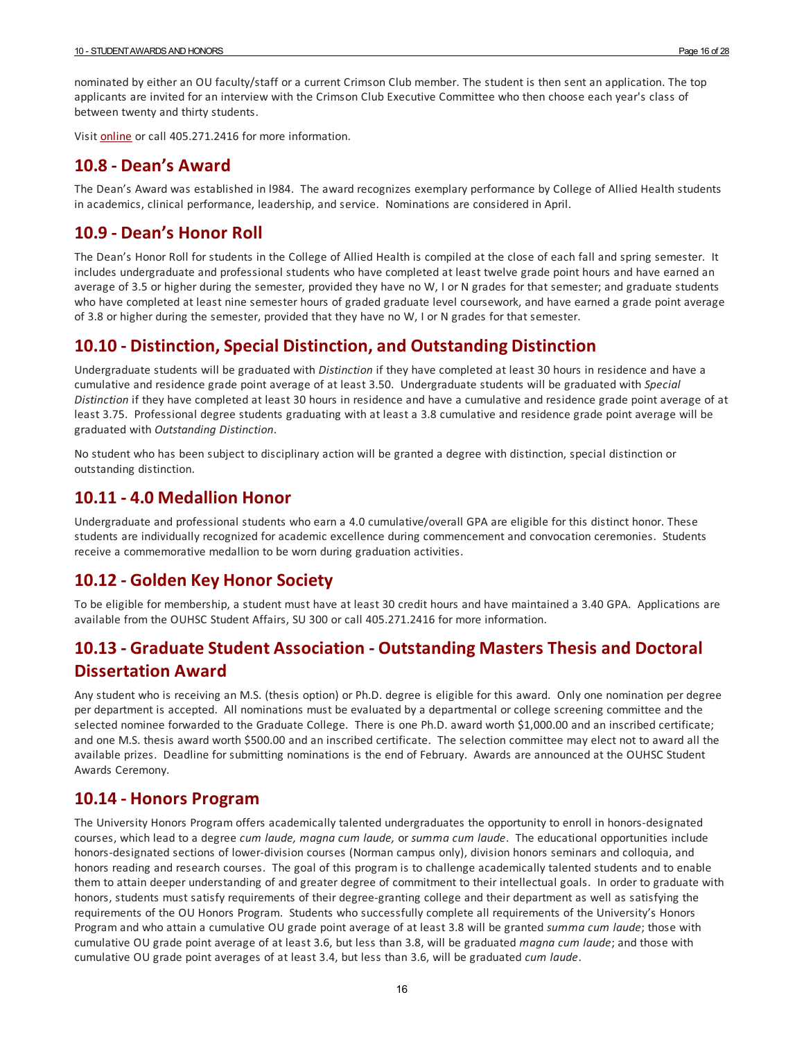nominated by eitheran OU faculty/staff ora current Crimson Club member. The student is then sent an application. The top applicants are invited foran interview with the Crimson Club Executive Committee who then choose each year's class of between twenty and thirty students.

Visit **[online](http://www.ou.edu/crimsonclub/)** or call 405.271.2416 for more information.

#### <span id="page-15-0"></span>**10.8 - Dean's Award**

The Dean's Award was established in l984. The award recognizes exemplary performance by College of Allied Health students in academics, clinical performance, leadership, and service. Nominations are considered in April.

#### <span id="page-15-1"></span>**10.9 - Dean's Honor Roll**

The Dean's Honor Roll for students in the College of Allied Health is compiled at the close of each fall and spring semester. It includes undergraduate and professional students who have completed at least twelve grade point hours and have earned an average of 3.5 or higher during the semester, provided they have no W, I or N grades for that semester; and graduate students who have completed at least nine semester hours of graded graduate level coursework, and have earned a grade point average of 3.8 or higher during the semester, provided that they have no W, I or N grades for that semester.

#### <span id="page-15-2"></span>**10.10 - Distinction,Special Distinction, and Outstanding Distinction**

Undergraduate students will be graduated with *Distinction* if they have completed at least 30 hours in residence and have a cumulative and residence grade point average of at least 3.50. Undergraduate students will be graduated with *Special Distinction* if they have completed at least 30 hours in residence and have a cumulative and residence grade point average of at least 3.75. Professional degree students graduating with at least a 3.8 cumulative and residence grade point average will be graduated with *Outstanding Distinction*.

No student who has been subject to disciplinary action will be granted a degree with distinction, special distinction or outstanding distinction.

#### <span id="page-15-3"></span>**10.11 - 4.0 Medallion Honor**

Undergraduate and professional students who earn a 4.0 cumulative/overall GPA are eligible for this distinct honor. These students are individually recognized for academic excellence during commencement and convocation ceremonies. Students receive a commemorative medallion to be worn during graduation activities.

#### <span id="page-15-4"></span>**10.12 - Golden Key Honor Society**

To be eligible for membership, a student must have at least 30 credit hours and have maintained a 3.40 GPA. Applications are available from the OUHSC Student Affairs, SU 300 or call 405.271.2416 for more information.

## <span id="page-15-5"></span>**10.13 - Graduate Student Association - Outstanding Masters Thesis and Doctoral Dissertation Award**

Any student who is receiving an M.S. (thesis option) or Ph.D. degree is eligible for this award. Only one nomination per degree per department is accepted. All nominations must be evaluated by a departmental or college screening committee and the selected nominee forwarded to the Graduate College. There is one Ph.D. award worth \$1,000.00 and an inscribed certificate; and one M.S. thesis award worth \$500.00 and an inscribed certificate. The selection committee may elect not to award all the available prizes. Deadline for submitting nominations is the end of February. Awards are announced at the OUHSC Student Awards Ceremony.

#### <span id="page-15-6"></span>**10.14 - Honors Program**

The University Honors Program offers academically talented undergraduates the opportunity to enroll in honors-designated courses, which lead to a degree *cum laude, magna cum laude,* or *summa cum laude*. The educational opportunities include honors-designated sections of lower-division courses (Norman campus only), division honors seminars and colloquia, and honors reading and research courses. The goal of this program is to challenge academically talented students and to enable them to attain deeper understanding of and greater degree of commitment to their intellectual goals. In order to graduate with honors, students must satisfy requirements of their degree-granting college and their department as well as satisfying the requirements of the OU Honors Program. Students who successfully complete all requirements of the University's Honors Program and who attain a cumulative OU grade point average of at least 3.8 will be granted *summa cum laude*; those with cumulative OU grade point average of at least 3.6, but less than 3.8, will be graduated *magna cum laude*; and those with cumulative OU grade point averages of at least 3.4, but less than 3.6, will be graduated *cum laude*.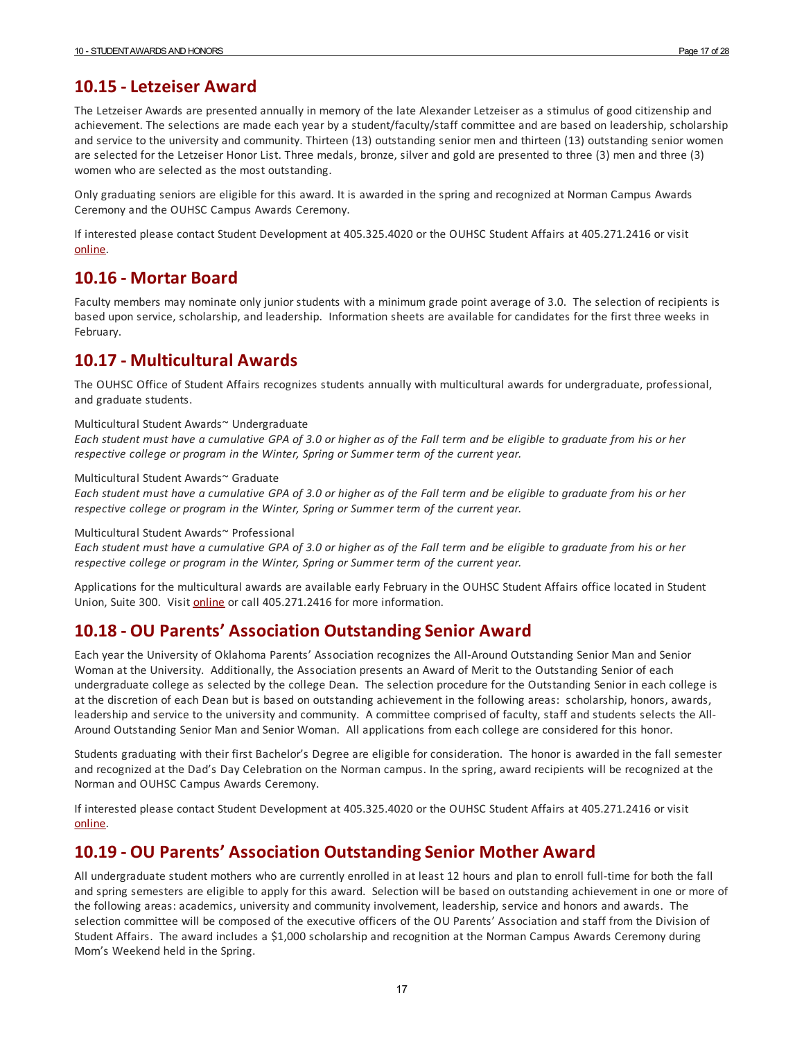<span id="page-16-0"></span>Only graduating seniors are eligible for this award. It is awarded in the spring and recognized at Norman Campus Awards Ceremony and the OUHSC Campus Awards Ceremony.

If interested please contact Student Development at 405.325.4020 or the OUHSC Student Affairs at 405.271.2416 or visit [online.](http://www.ou.edu/leadandvolunteer.html)

#### <span id="page-16-1"></span>**10.16 - Mortar Board**

Faculty members may nominate only junior students with a minimum grade point average of 3.0. The selection of recipients is based upon service, scholarship, and leadership. Information sheets are available for candidates for the first three weeks in February.

## <span id="page-16-2"></span>**10.17 - Multicultural Awards**

The OUHSC Office of Student Affairs recognizes students annually with multicultural awards for undergraduate, professional, and graduate students.

#### Multicultural Student Awards~ Undergraduate

Each student must have a cumulative GPA of 3.0 or higher as of the Fall term and be eligible to graduate from his or her *respective college or program in the Winter, Spring or Summer term of the current year.*

#### Multicultural Student Awards~ Graduate

Each student must have a cumulative GPA of 3.0 or higher as of the Fall term and be eligible to graduate from his or her *respective college or program in the Winter, Spring or Summer term of the current year.*

#### Multicultural Student Awards~ Professional

Each student must have a cumulative GPA of 3.0 or higher as of the Fall term and be eligible to graduate from his or her *respective college or program in the Winter, Spring or Summer term of the current year.*

Applications for the multicultural awards are available early February in the OUHSC Student Affairs office located in Student Union, Suite 300. Visit [o](http://student-affairs.ouhsc.edu/)[nline](http://students.ouhsc.edu/) or call 405.271.2416 for more information.

#### <span id="page-16-3"></span>**10.18 - OU Parents' Association OutstandingSenior Award**

Each year the University of Oklahoma Parents' Association recognizes the All-Around Outstanding Senior Man and Senior Woman at the University. Additionally, the Association presents an Award of Merit to the Outstanding Senior of each undergraduate college as selected by the college Dean. The selection procedure for the Outstanding Senior in each college is at the discretion of each Dean but is based on outstanding achievement in the following areas: scholarship, honors, awards, leadership and service to the university and community. A committee comprised of faculty, staff and students selects the All-Around Outstanding Senior Man and Senior Woman. All applications from each college are considered for this honor.

Students graduating with their first Bachelor's Degree are eligible for consideration. The honor is awarded in the fall semester and recognized at the Dad's Day Celebration on the Norman campus. In the spring, award recipients will be recognized at the Norman and OUHSC Campus Awards Ceremony.

If interested please contact Student Development at 405.325.4020 or the OUHSC Student Affairs at 405.271.2416 or visit [online.](http://www.ou.edu/leadandvolunteer.html)

## <span id="page-16-4"></span>**10.19 - OU Parents' Association OutstandingSenior Mother Award**

All undergraduate student mothers who are currently enrolled in at least 12 hours and plan to enroll full-time for both the fall and spring semesters are eligible to apply for this award. Selection will be based on outstanding achievement in one or more of the following areas: academics, university and community involvement, leadership, service and honors and awards. The selection committee will be composed of the executive officers of the OU Parents' Association and staff from the Division of Student Affairs. The award includes a \$1,000 scholarship and recognition at the Norman Campus Awards Ceremony during Mom's Weekend held in the Spring.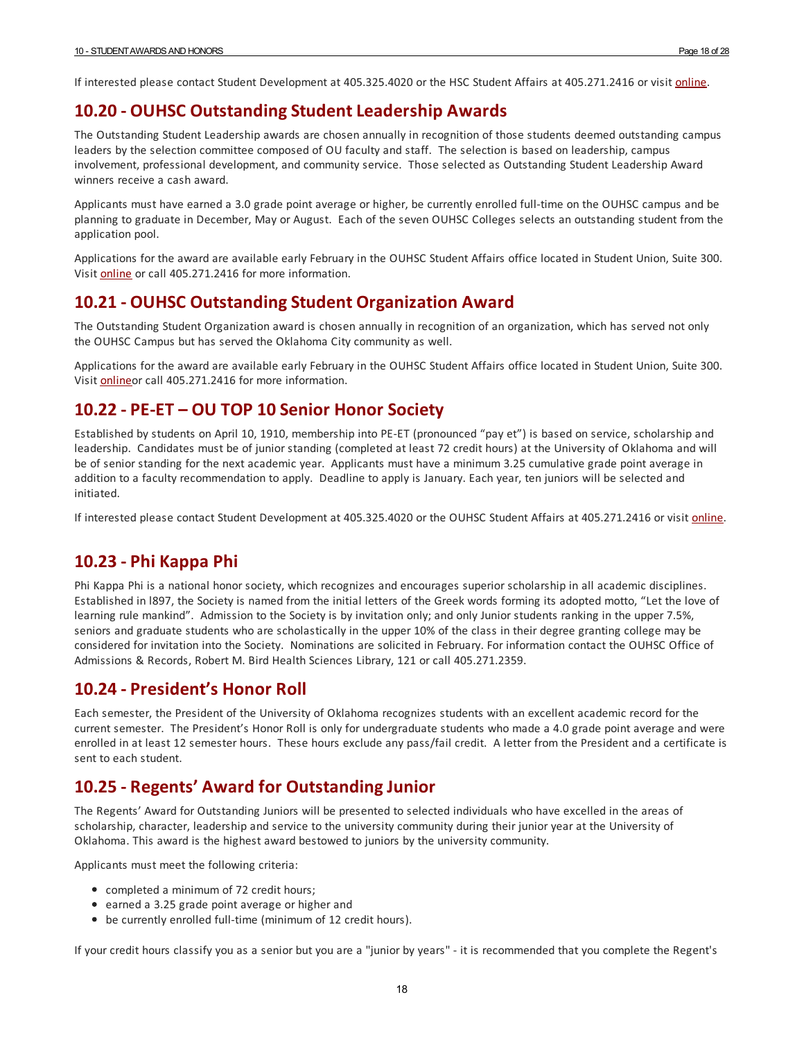If interested please contact Student Development at 405.325.4020 or the HSC Student Affairs at 405.271.2416 or visit [online](http://www.ou.edu/leadandvolunteer.html).

#### <span id="page-17-0"></span>**10.20 - OUHSC Outstanding Student Leadership Awards**

The Outstanding Student Leadership awards are chosen annually in recognition of those students deemed outstanding campus leaders by the selection committee composed of OU faculty and staff. The selection is based on leadership, campus involvement, professional development, and community service. Those selected as Outstanding Student Leadership Award winners receive a cash award.

Applicants must have earned a 3.0 grade point average or higher, be currently enrolled full-time on the OUHSC campus and be planning to graduate in December, May or August. Each of the seven OUHSC Colleges selects an outstanding student from the application pool.

Applications for the award are available early February in the OUHSC Student Affairs office located in Student Union, Suite 300. Visit [o](http://student-affairs.ouhsc.edu/)[nline](http://students.ouhsc.edu/) or call 405.271.2416 for more information.

#### <span id="page-17-1"></span>**10.21 - OUHSC Outstanding Student Organization Award**

The Outstanding Student Organization award is chosen annually in recognition of an organization, which has served not only the OUHSC Campus but has served the Oklahoma City community as well.

Applications for the award are available early February in the OUHSC Student Affairs office located in Student Union, Suite 300. Visit [online](http://students.ouhsc.edu/)or call 405.271.2416 for more information.

#### <span id="page-17-2"></span>**10.22 - PE-ET – OU TOP 10 Senior Honor Society**

Established by students on April 10, 1910, membership into PE-ET (pronounced "pay et") is based on service, scholarship and leadership. Candidates must be of junior standing (completed at least 72 credit hours) at the University of Oklahoma and will be of senior standing for the next academic year. Applicants must have a minimum 3.25 cumulative grade point average in addition to a faculty recommendation to apply. Deadline to apply is January. Each year, ten juniors will be selected and initiated.

If interested please contact Student Development at 405.325.4020 or the OUHSC Student Affairs at 405.271.2416 or visit *[online](http://www.ou.edu/leadandvolunteer.html)*.

## <span id="page-17-3"></span>**10.23 - Phi Kappa Phi**

Phi Kappa Phi is a national honor society, which recognizes and encourages superior scholarship in all academic disciplines. Established in l897, the Society is named from the initial letters of the Greek words forming its adopted motto, "Let the love of learning rule mankind". Admission to the Society is by invitation only; and only Junior students ranking in the upper 7.5%, seniors and graduate students who are scholastically in the upper 10% of the class in their degree granting college may be considered for invitation into the Society. Nominations are solicited in February. For information contact the OUHSC Office of Admissions & Records, Robert M. Bird Health Sciences Library, 121 or call 405.271.2359.

#### <span id="page-17-4"></span>**10.24 - President's Honor Roll**

Each semester, the President of the University of Oklahoma recognizes students with an excellent academic record for the current semester. The President's Honor Roll is only for undergraduate students who made a 4.0 grade point average and were enrolled in at least 12 semester hours. These hours exclude any pass/fail credit. A letter from the President and a certificate is sent to each student.

## <span id="page-17-5"></span>**10.25 - Regents' Award for OutstandingJunior**

The Regents' Award for Outstanding Juniors will be presented to selected individuals who have excelled in the areas of scholarship, character, leadership and service to the university community during their junior yearat the University of Oklahoma. This award is the highest award bestowed to juniors by the university community.

Applicants must meet the following criteria:

- completed a minimum of 72 credit hours;
- earned a 3.25 grade point average or higher and
- be currently enrolled full-time (minimum of 12 credit hours).

If your credit hours classify you as a senior but you are a "junior by years" - it is recommended that you complete the Regent's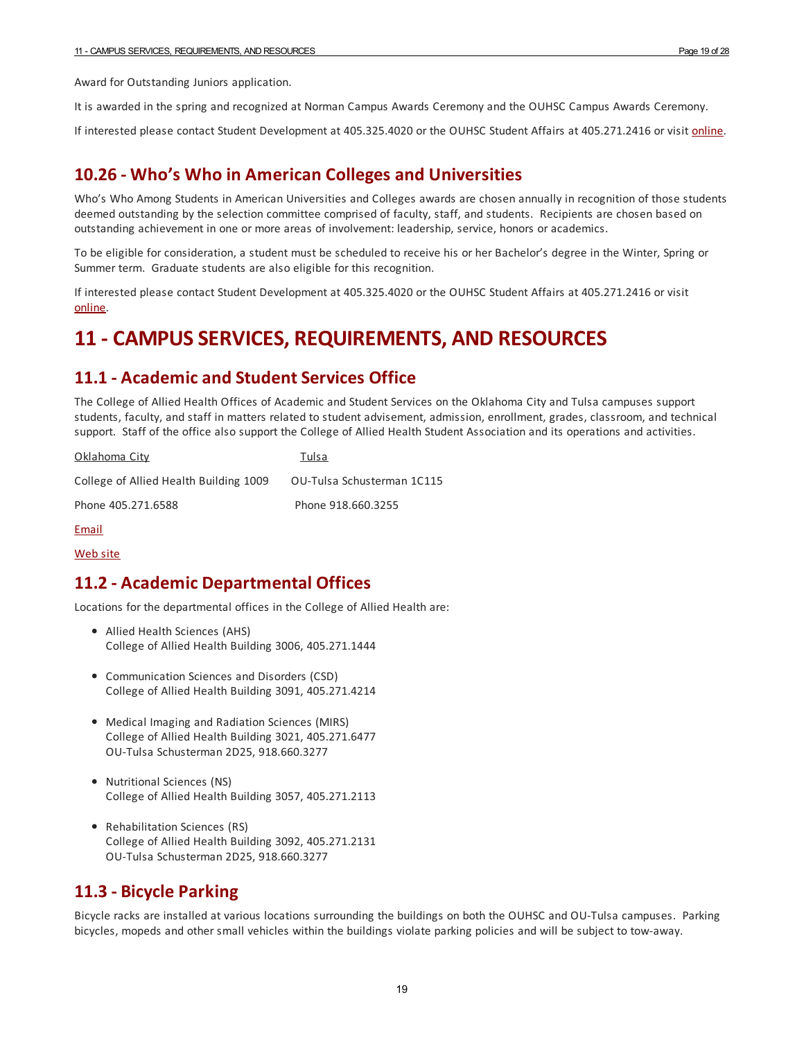Award for Outstanding Juniors application.

It is awarded in the spring and recognized at Norman Campus Awards Ceremony and the OUHSC Campus Awards Ceremony.

If interested please contact Student Development at 405.325.4020 or the OUHSC Student Affairs at 405.271.2416 or visit *[online](http://www.ou.edu/leadandvolunteer.html)*.

#### <span id="page-18-0"></span>**10.26 - Who's Who in American Colleges and Universities**

Who's Who Among Students in American Universities and Colleges awards are chosen annually in recognition of those students deemed outstanding by the selection committee comprised of faculty, staff, and students. Recipients are chosen based on outstanding achievement in one or more areas of involvement: leadership, service, honors oracademics.

To be eligible for consideration, a student must be scheduled to receive his or her Bachelor's degree in the Winter, Spring or Summer term. Graduate students are also eligible for this recognition.

If interested please contact Student Development at 405.325.4020 or the OUHSC Student Affairs at 405.271.2416 or visit [online.](http://www.ou.edu/leadandvolunteer.html)

## <span id="page-18-1"></span>**11 - CAMPUSSERVICES, REQUIREMENTS, AND RESOURCES**

#### <span id="page-18-2"></span>**11.1 - Academic and Student Services Office**

The College of Allied Health Offices of Academic and Student Services on the Oklahoma City and Tulsa campuses support students, faculty, and staff in matters related to student advisement, admission, enrollment, grades, classroom, and technical support. Staff of the office also support the College of Allied Health Student Association and its operations and activities.

| Oklahoma City                          | Tulsa                      |
|----------------------------------------|----------------------------|
| College of Allied Health Building 1009 | OU-Tulsa Schusterman 1C115 |
| Phone 405.271.6588                     | Phone 918.660.3255         |

[Email](mailto:alliedhealth-info@ouhsc.edu)

[Web](http://alliedhealth.ouhsc.edu/CurrentStudents/OfficeofAcademicStudentServices.aspx) site

#### <span id="page-18-3"></span>**11.2 - Academic Departmental Offices**

Locations for the departmental offices in the College of Allied Health are:

- Allied Health Sciences (AHS) College of Allied Health Building 3006, 405.271.1444
- Communication Sciences and Disorders (CSD) College of Allied Health Building 3091, 405.271.4214
- Medical Imaging and Radiation Sciences (MIRS) College of Allied Health Building 3021, 405.271.6477 OU-Tulsa Schusterman 2D25, 918.660.3277
- Nutritional Sciences (NS) College of Allied Health Building 3057, 405.271.2113
- Rehabilitation Sciences (RS) College of Allied Health Building 3092, 405.271.2131 OU-Tulsa Schusterman 2D25, 918.660.3277

#### <span id="page-18-4"></span>**11.3 - Bicycle Parking**

Bicycle racks are installed at various locations surrounding the buildings on both the OUHSC and OU-Tulsa campuses. Parking bicycles, mopeds and other small vehicles within the buildings violate parking policies and will be subject to tow-away.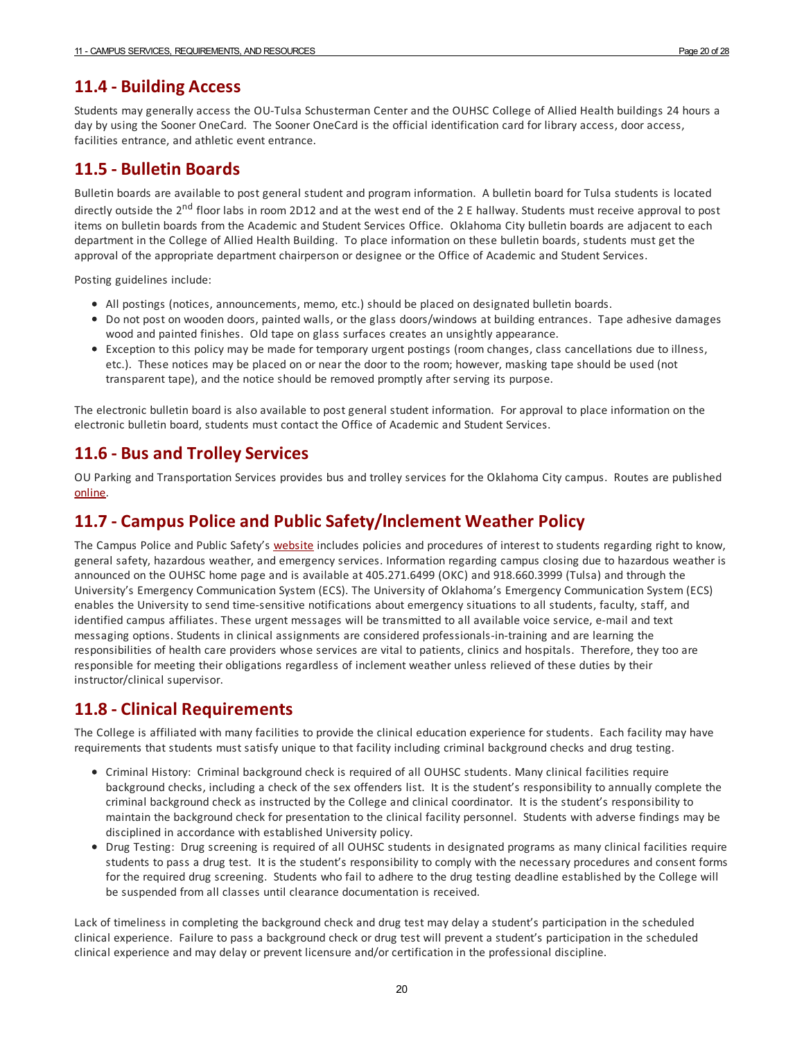#### <span id="page-19-0"></span>**11.4 - Building Access**

Students may generally access the OU-Tulsa Schusterman Centerand the OUHSC College of Allied Health buildings 24 hours a day by using the Sooner OneCard. The Sooner OneCard is the official identification card for library access, door access, facilities entrance, and athletic event entrance.

#### <span id="page-19-1"></span>**11.5 - Bulletin Boards**

Bulletin boards are available to post general student and program information. A bulletin board forTulsa students is located directly outside the 2<sup>nd</sup> floor labs in room 2D12 and at the west end of the 2 E hallway. Students must receive approval to post items on bulletin boards from the Academic and Student Services Office. Oklahoma City bulletin boards are adjacent to each department in the College of Allied Health Building. To place information on these bulletin boards, students must get the approval of the appropriate department chairperson or designee or the Office of Academic and Student Services.

Posting guidelines include:

- All postings (notices, announcements, memo, etc.) should be placed on designated bulletin boards.
- Do not post on wooden doors, painted walls, or the glass doors/windows at building entrances. Tape adhesive damages wood and painted finishes. Old tape on glass surfaces creates an unsightly appearance.
- Exception to this policy may be made for temporary urgent postings (room changes, class cancellations due to illness, etc.). These notices may be placed on or near the door to the room; however, masking tape should be used (not transparent tape), and the notice should be removed promptly after serving its purpose.

The electronic bulletin board is also available to post general student information. Forapproval to place information on the electronic bulletin board, students must contact the Office of Academic and Student Services.

#### <span id="page-19-2"></span>**11.6 - Bus and TrolleyServices**

OU Parking and Transportation Services provides bus and trolley services for the Oklahoma City campus. Routes are published [online.](http://www.ouhsc.edu/parking/transport2.htm)

#### <span id="page-19-3"></span>**11.7 - Campus Police and PublicSafety/Inclement Weather Policy**

The Campus Police and Public Safety's [website](http://www.ouhsc.edu/police/Home.aspx) includes policies and procedures of interest to students regarding right to know, general safety, hazardous weather, and emergency services. Information regarding campus closing due to hazardous weather is announced on the OUHSC home page and is available at 405.271.6499 (OKC) and 918.660.3999 (Tulsa) and through the University's Emergency Communication System (ECS). The University of Oklahoma's Emergency Communication System (ECS) enables the University to send time-sensitive notifications about emergency situations to all students, faculty, staff, and identified campus affiliates. These urgent messages will be transmitted to all available voice service, e-mail and text messaging options. Students in clinical assignments are considered professionals-in-training and are learning the responsibilities of health care providers whose services are vital to patients, clinics and hospitals. Therefore, they too are responsible for meeting their obligations regardless of inclement weather unless relieved of these duties by their instructor/clinical supervisor.

#### <span id="page-19-4"></span>**11.8 - Clinical Requirements**

The College is affiliated with many facilities to provide the clinical education experience for students. Each facility may have requirements that students must satisfy unique to that facility including criminal background checks and drug testing.

- Criminal History: Criminal background check is required of all OUHSC students. Many clinical facilities require background checks, including a check of the sex offenders list. It is the student's responsibility to annually complete the criminal background check as instructed by the College and clinical coordinator. It is the student's responsibility to maintain the background check for presentation to the clinical facility personnel. Students with adverse findings may be disciplined in accordance with established University policy.
- Drug Testing: Drug screening is required of all OUHSC students in designated programs as many clinical facilities require students to pass a drug test. It is the student's responsibility to comply with the necessary procedures and consent forms for the required drug screening. Students who fail to adhere to the drug testing deadline established by the College will be suspended from all classes until clearance documentation is received.

Lack of timeliness in completing the background check and drug test may delay a student's participation in the scheduled clinical experience. Failure to pass a background check or drug test will prevent a student's participation in the scheduled clinical experience and may delay or prevent licensure and/or certification in the professional discipline.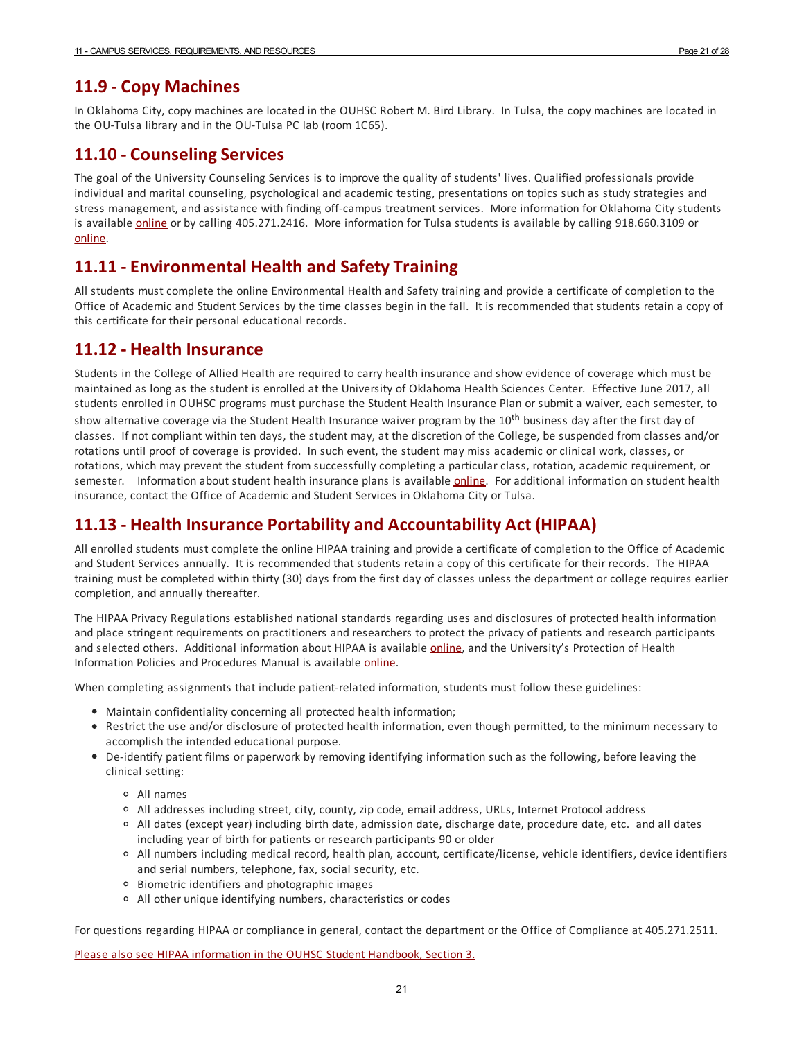#### <span id="page-20-0"></span>**11.9 - Copy Machines**

In Oklahoma City, copy machines are located in the OUHSC Robert M. Bird Library. In Tulsa, the copy machines are located in the OU-Tulsa library and in the OU-Tulsa PC lab (room 1C65).

#### <span id="page-20-1"></span>**11.10 - Counseling Services**

The goal of the University Counseling Services is to improve the quality of students' lives. Qualified professionals provide individual and marital counseling, psychological and academic testing, presentations on topics such as study strategies and stress management, and assistance with finding off-campus treatment services. More information for Oklahoma City students is available *[online](http://students.ouhsc.edu/SCS.aspx)* or by calling 405.271.2416. More information for Tulsa students is available by calling 918.660.3109 or [online.](http://www.ou.edu/tulsastudentaffairs/services/counseling-services)

## <span id="page-20-2"></span>**11.11 -Environmental Health and Safety Training**

All students must complete the online Environmental Health and Safety training and provide a certificate of completion to the Office of Academic and Student Services by the time classes begin in the fall. It is recommended that students retain a copy of this certificate for their personal educational records.

#### <span id="page-20-3"></span>**11.12 - Health Insurance**

Students in the College of Allied Health are required to carry health insurance and show evidence of coverage which must be maintained as long as the student is enrolled at the University of Oklahoma Health Sciences Center. Effective June 2017, all students enrolled in OUHSC programs must purchase the Student Health Insurance Plan or submit a waiver, each semester, to show alternative coverage via the Student Health Insurance waiver program by the 10<sup>th</sup> business day after the first day of classes. If not compliant within ten days, the student may, at the discretion of the College, be suspended from classes and/or rotations until proof of coverage is provided. In such event, the student may miss academic or clinical work, classes, or rotations, which may prevent the student from successfully completing a particular class, rotation, academic requirement, or semester. Information about student health insurance plans is available [online](http://students.ouhsc.edu/HealthInsurance.aspx). For additional information on student health insurance, contact the Office of Academic and Student Services in Oklahoma City orTulsa.

## <span id="page-20-4"></span>**11.13 - Health Insurance Portability and Accountability Act (HIPAA)**

All enrolled students must complete the online HIPAA training and provide a certificate of completion to the Office of Academic and Student Services annually. It is recommended that students retain a copy of this certificate for their records. The HIPAA training must be completed within thirty (30) days from the first day of classes unless the department or college requires earlier completion, and annually thereafter.

The HIPAA Privacy Regulations established national standards regarding uses and disclosures of protected health information and place stringent requirements on practitioners and researchers to protect the privacy of patients and research participants and selected others. Additional information about HIPAA is available [online](http://www.ouhsc.edu/hipaa/), and the University's Protection of Health Information Policies and Procedures Manual is available [online](http://www.ouhsc.edu/hipaa/docs/PrivacyPolicyManual.pdf).

When completing assignments that include patient-related information, students must follow these guidelines:

- Maintain confidentiality concerning all protected health information;
- Restrict the use and/or disclosure of protected health information, even though permitted, to the minimum necessary to accomplish the intended educational purpose.
- De-identify patient films or paperwork by removing identifying information such as the following, before leaving the clinical setting:
	- All names
	- All addresses including street, city, county, zip code, email address, URLs, Internet Protocol address
	- All dates (except year) including birth date, admission date, discharge date, procedure date, etc. and all dates including year of birth for patients or research participants 90 or older
	- All numbers including medical record, health plan, account, certificate/license, vehicle identifiers, device identifiers and serial numbers, telephone, fax, social security, etc.
	- Biometric identifiers and photographic images
	- All other unique identifying numbers, characteristics or codes

For questions regarding HIPAA or compliance in general, contact the department or the Office of Compliance at 405.271.2511.

Please also see HIPAA [information](https://studenthandbook.ouhsc.edu/hbSections.aspx?ID=433) in the OUHSC Student Handbook, Section 3.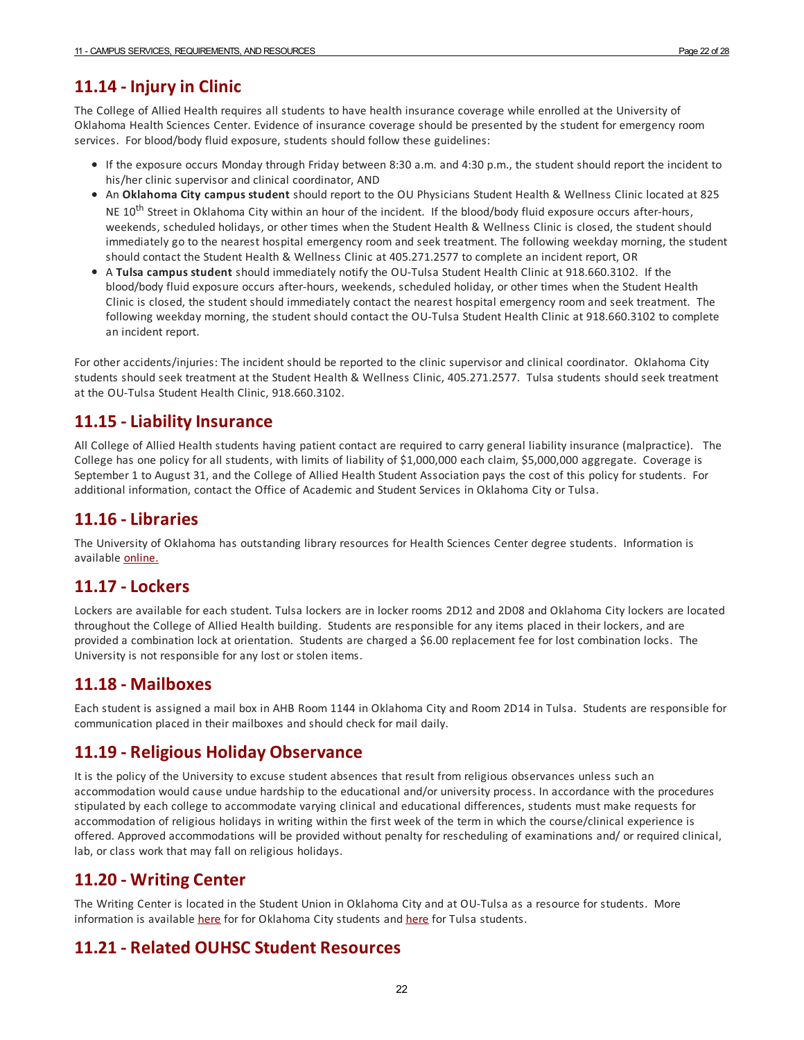## <span id="page-21-0"></span>**11.14 - Injuryin Clinic**

The College of Allied Health requires all students to have health insurance coverage while enrolled at the University of Oklahoma Health Sciences Center. Evidence of insurance coverage should be presented by the student for emergency room services. For blood/body fluid exposure, students should follow these guidelines:

- If the exposure occurs Monday through Friday between 8:30 a.m. and 4:30 p.m., the student should report the incident to his/her clinic supervisor and clinical coordinator, AND
- An **Oklahoma City campus student** should report to the OU Physicians Student Health & Wellness Clinic located at 825 NE 10<sup>th</sup> Street in Oklahoma City within an hour of the incident. If the blood/body fluid exposure occurs after-hours, weekends, scheduled holidays, or other times when the Student Health & Wellness Clinic is closed, the student should immediately go to the nearest hospital emergency room and seek treatment. The following weekday morning, the student should contact the Student Health & Wellness Clinic at 405.271.2577 to complete an incident report, OR
- A **Tulsa campus student** should immediately notify the OU-Tulsa Student Health Clinic at 918.660.3102. If the blood/body fluid exposure occurs after-hours, weekends, scheduled holiday, or other times when the Student Health Clinic is closed, the student should immediately contact the nearest hospital emergency room and seek treatment. The following weekday morning, the student should contact the OU-Tulsa Student Health Clinic at 918.660.3102 to complete an incident report.

For other accidents/injuries: The incident should be reported to the clinic supervisor and clinical coordinator. Oklahoma City students should seek treatment at the Student Health & Wellness Clinic, 405.271.2577. Tulsa students should seek treatment at the OU-Tulsa Student Health Clinic, 918.660.3102.

#### <span id="page-21-1"></span>**11.15 -LiabilityInsurance**

All College of Allied Health students having patient contact are required to carry general liability insurance (malpractice). The College has one policy forall students, with limits of liability of \$1,000,000 each claim, \$5,000,000 aggregate. Coverage is September 1 to August 31, and the College of Allied Health Student Association pays the cost of this policy for students. For additional information, contact the Office of Academic and Student Services in Oklahoma City or Tulsa.

#### <span id="page-21-2"></span>**11.16 -Libraries**

The University of Oklahoma has outstanding library resources for Health Sciences Center degree students. Information is available [online.](http://www.ouhsc.edu/libraries.aspx)

#### <span id="page-21-3"></span>**11.17 -Lockers**

Lockers are available for each student. Tulsa lockers are in locker rooms 2D12 and 2D08 and Oklahoma City lockers are located throughout the College of Allied Health building. Students are responsible forany items placed in their lockers, and are provided a combination lock at orientation. Students are charged a \$6.00 replacement fee for lost combination locks. The University is not responsible forany lost or stolen items.

#### <span id="page-21-4"></span>**11.18 - Mailboxes**

Each student is assigned a mail box in AHB Room 1144 in Oklahoma City and Room 2D14 in Tulsa. Students are responsible for communication placed in their mailboxes and should check for mail daily.

## <span id="page-21-5"></span>**11.19 - Religious Holiday Observance**

It is the policy of the University to excuse student absences that result from religious observances unless such an accommodation would cause undue hardship to the educational and/or university process. In accordance with the procedures stipulated by each college to accommodate varying clinical and educational differences, students must make requests for accommodation of religious holidays in writing within the first week of the term in which the course/clinical experience is offered. Approved accommodations will be provided without penalty for rescheduling of examinations and/ or required clinical, lab, or class work that may fall on religious holidays.

#### <span id="page-21-6"></span>**11.20 - Writing Center**

The Writing Center is located in the Student Union in Oklahoma City and at OU-Tulsa as a resource for students. More information is available [here](http://library.tulsa.ou.edu/main/writing-services) for for Oklahoma City students and here for Tulsa students.

## <span id="page-21-7"></span>**11.21 - Related OUHSC Student Resources**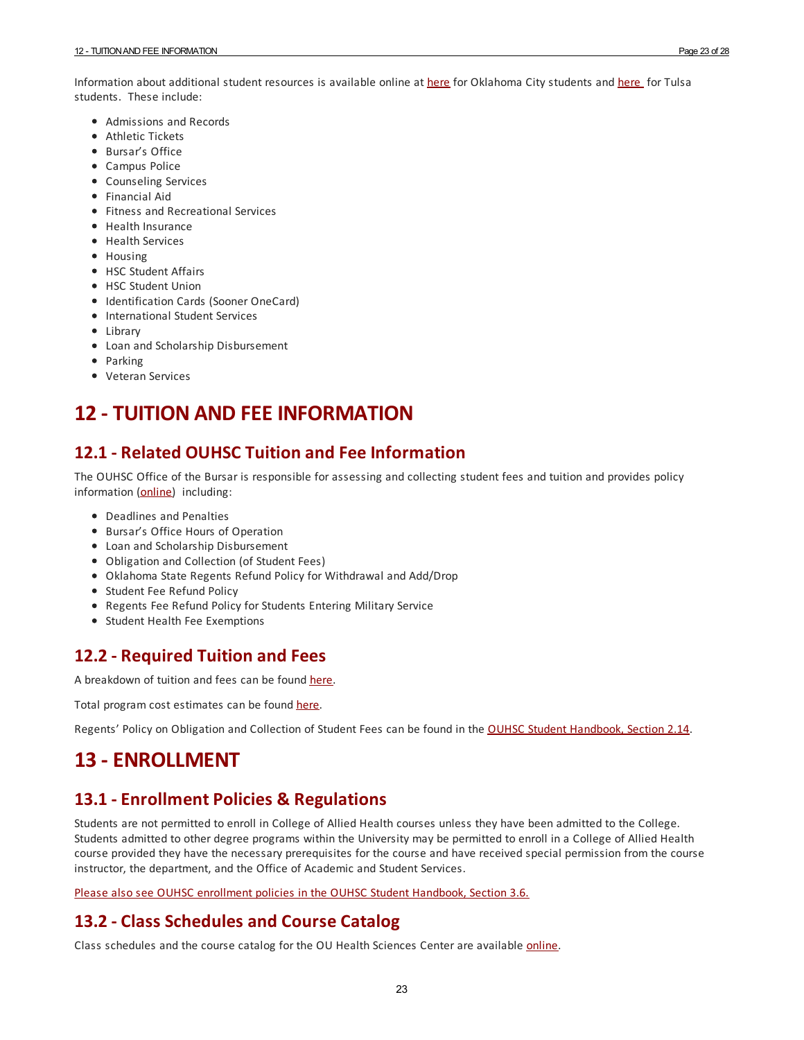Information about additional student resources is available online at [here](http://www.ou.edu/content/tulsastudentaffairs.html) for Oklahoma City students and here for Tulsa students. These include:

- Admissions and Records
- Athletic Tickets
- Bursar's Office
- Campus Police
- Counseling Services
- Financial Aid
- Fitness and Recreational Services
- Health Insurance
- Health Services
- Housing
- HSC Student Affairs
- HSC Student Union
- Identification Cards (Sooner OneCard)
- International Student Services
- Library
- Loan and Scholarship Disbursement
- Parking
- Veteran Services

# <span id="page-22-0"></span>**12 - TUITION AND FEEINFORMATION**

#### <span id="page-22-1"></span>**12.1 - Related OUHSC Tuition and Fee Information**

The OUHSC Office of the Bursar is responsible for assessing and collecting student fees and tuition and provides policy information ([online](http://www.ouhsc.edu/financialservices/bursar/)) including:

- Deadlines and Penalties
- Bursar's Office Hours of Operation
- Loan and Scholarship Disbursement
- Obligation and Collection (of Student Fees)
- Oklahoma State Regents Refund Policy for Withdrawal and Add/Drop
- Student Fee Refund Policy
- Regents Fee Refund Policy for Students Entering Military Service
- Student Health Fee Exemptions

#### <span id="page-22-2"></span>**12.2 - Required Tuition and Fees**

A breakdown of tuition and fees can be found [here](http://www.ouhsc.edu/financialservices/bursar/tuition_fees.asp).

Total program cost estimates can be found [here](http://www.ouhsc.edu/financialservices/SFA/OUHSCCosts.asp).

Regents' Policy on Obligation and Collection of Student Fees can be found in the OUHSC Student [Handbook,](https://studenthandbook.ouhsc.edu/hbSections.aspx?ID=430) Section 2.14.

# <span id="page-22-3"></span>**13 -ENROLLMENT**

#### <span id="page-22-4"></span>**13.1 -Enrollment Policies & Regulations**

Students are not permitted to enroll in College of Allied Health courses unless they have been admitted to the College. Students admitted to other degree programs within the University may be permitted to enroll in a College of Allied Health course provided they have the necessary prerequisites for the course and have received special permission from the course instructor, the department, and the Office of Academic and Student Services.

Please also see OUHSC [enrollment](https://studenthandbook.ouhsc.edu/hbSections.aspx?ID=411) policies in the OUHSC Student Handbook, Section 3.6.

#### <span id="page-22-5"></span>**13.2 - Class Schedules and Course Catalog**

Class schedules and the course catalog for the OU Health Sciences Center are available *[online](http://apps.ouhsc.edu/studentinfo/Schedules.aspx)*.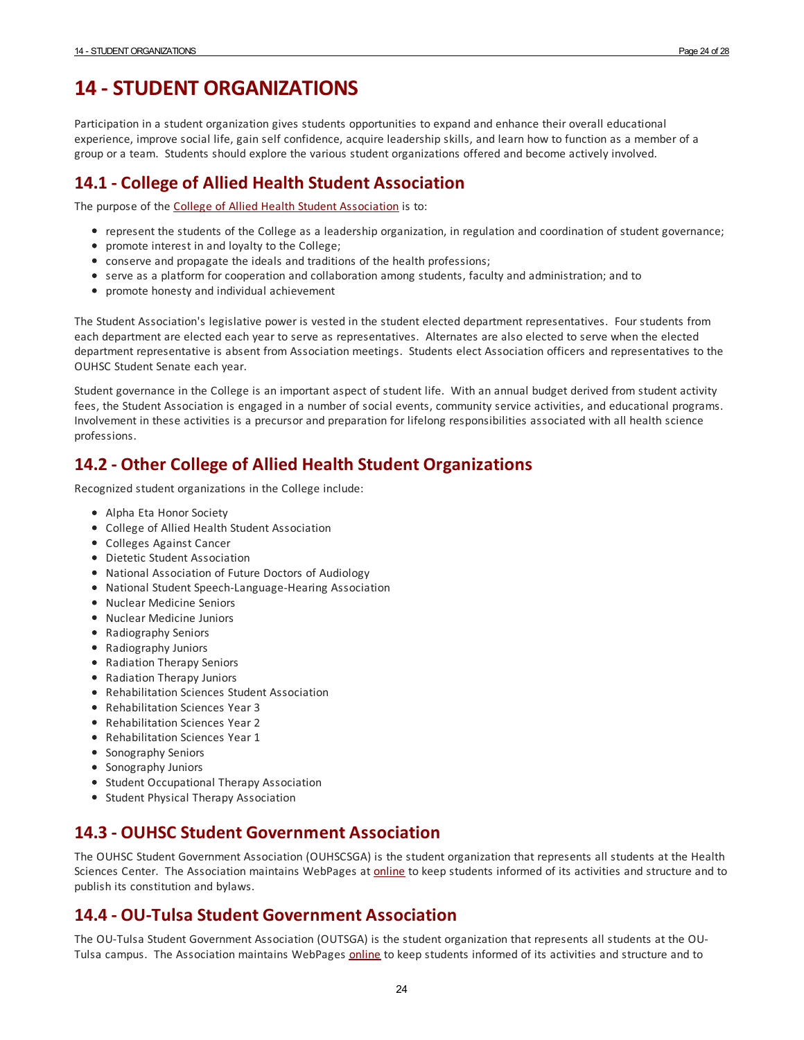# <span id="page-23-0"></span>**14 -STUDENT ORGANIZATIONS**

Participation in a student organization gives students opportunities to expand and enhance their overall educational experience, improve social life, gain self confidence, acquire leadership skills, and learn how to function as a member of a group ora team. Students should explore the various student organizations offered and become actively involved.

#### <span id="page-23-1"></span>**14.1 - College of Allied Health Student Association**

The purpose of the College of Allied Health Student [Association](https://alliedhealth.ouhsc.edu/Current-Students/Student-Organizations/Student-Association) is to:

- represent the students of the College as a leadership organization, in regulation and coordination of student governance;
- promote interest in and loyalty to the College;
- conserve and propagate the ideals and traditions of the health professions;
- serve as a platform for cooperation and collaboration among students, faculty and administration; and to
- promote honesty and individual achievement

The Student Association's legislative power is vested in the student elected department representatives. Four students from each department are elected each year to serve as representatives. Alternates are also elected to serve when the elected department representative is absent from Association meetings. Students elect Association officers and representatives to the OUHSC Student Senate each year.

Student governance in the College is an important aspect of student life. With an annual budget derived from student activity fees, the Student Association is engaged in a number of social events, community service activities, and educational programs. Involvement in these activities is a precursorand preparation for lifelong responsibilities associated with all health science professions.

## <span id="page-23-2"></span>**14.2 - Other College of Allied Health Student Organizations**

Recognized student organizations in the College include:

- Alpha Eta Honor Society
- College of Allied Health Student Association
- Colleges Against Cancer
- Dietetic Student Association
- National Association of Future Doctors of Audiology
- National Student Speech-Language-Hearing Association
- Nuclear Medicine Seniors
- Nuclear Medicine Juniors
- Radiography Seniors
- Radiography Juniors
- Radiation Therapy Seniors
- Radiation Therapy Juniors
- Rehabilitation Sciences Student Association
- Rehabilitation Sciences Year 3
- Rehabilitation Sciences Year 2
- Rehabilitation Sciences Year 1
- Sonography Seniors
- Sonography Juniors
- **•** Student Occupational Therapy Association
- Student Physical Therapy Association

#### <span id="page-23-3"></span>**14.3 - OUHSC Student Government Association**

The OUHSC Student Government Association (OUHSCSGA) is the student organization that represents all students at the Health Sciences Center. The Association maintains WebPages at [online](http://www.ouhsc.edu/sa/) to keep students informed of its activities and structure and to publish its constitution and bylaws.

#### <span id="page-23-4"></span>**14.4 - OU-Tulsa Student Government Association**

The OU-Tulsa Student Government Association (OUTSGA) is the student organization that represents all students at the OUTulsa campus. The Association maintains WebPages [online](http://www.ou.edu/content/tulsastudentaffairs/outsa.html) to keep students informed of its activities and structure and to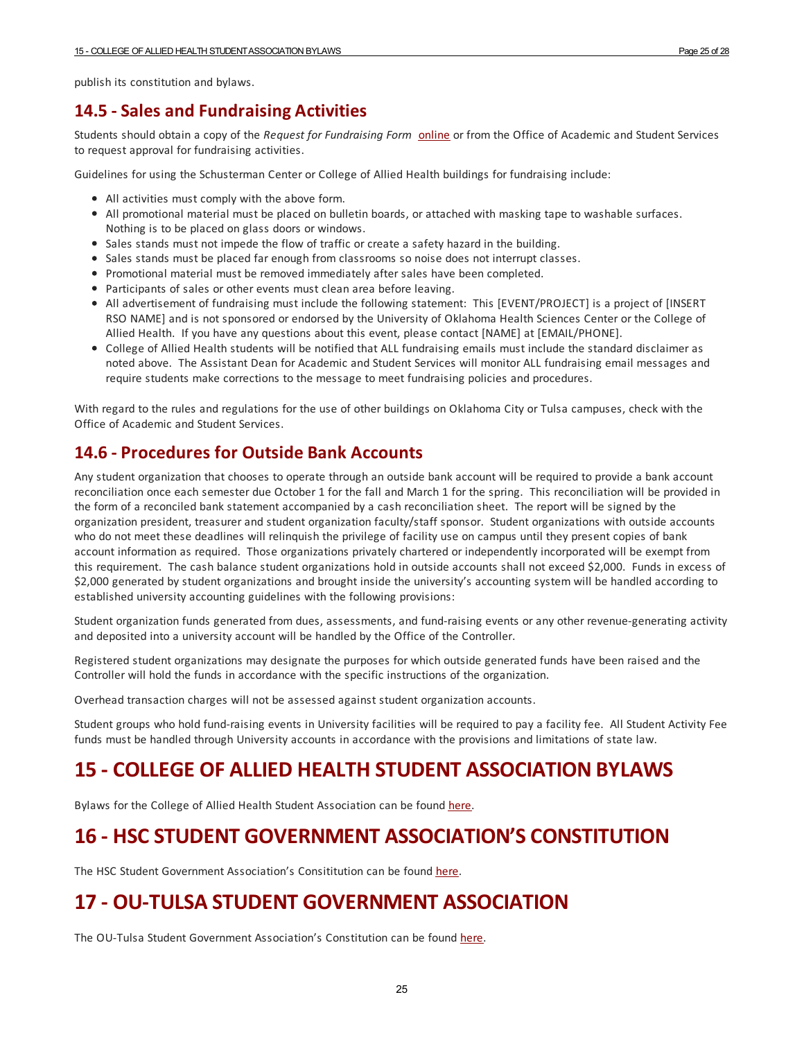publish its constitution and bylaws.

#### <span id="page-24-0"></span>**14.5 -Sales and Fundraising Activities**

Students should obtain a copy of the *Request for Fundraising Form* [online](http://alliedhealth.ouhsc.edu/Portals/1058/Assets/Fundraising Request Form.pdf) or from the Office of Academic and Student Services to request approval for fundraising activities.

Guidelines for using the Schusterman Center or College of Allied Health buildings for fundraising include:

- All activities must comply with the above form.
- All promotional material must be placed on bulletin boards, orattached with masking tape to washable surfaces. Nothing is to be placed on glass doors or windows.
- Sales stands must not impede the flow of traffic or create a safety hazard in the building.
- Sales stands must be placed far enough from classrooms so noise does not interrupt classes.
- Promotional material must be removed immediately after sales have been completed.
- Participants of sales or other events must clean area before leaving.
- All advertisement of fundraising must include the following statement: This [EVENT/PROJECT] is a project of [INSERT RSO NAME] and is not sponsored or endorsed by the University of Oklahoma Health Sciences Center or the College of Allied Health. If you have any questions about this event, please contact [NAME] at [EMAIL/PHONE].
- College of Allied Health students will be notified that ALL fundraising emails must include the standard disclaimeras noted above. The Assistant Dean for Academic and Student Services will monitor ALL fundraising email messages and require students make corrections to the message to meet fundraising policies and procedures.

With regard to the rules and regulations for the use of other buildings on Oklahoma City or Tulsa campuses, check with the Office of Academic and Student Services.

#### <span id="page-24-1"></span>**14.6 - Procedures for Outside Bank Accounts**

Any student organization that chooses to operate through an outside bank account will be required to provide a bank account reconciliation once each semester due October 1 for the fall and March 1 for the spring. This reconciliation will be provided in the form of a reconciled bank statement accompanied by a cash reconciliation sheet. The report will be signed by the organization president, treasurerand student organization faculty/staff sponsor. Student organizations with outside accounts who do not meet these deadlines will relinquish the privilege of facility use on campus until they present copies of bank account information as required. Those organizations privately chartered or independently incorporated will be exempt from this requirement. The cash balance student organizations hold in outside accounts shall not exceed \$2,000. Funds in excess of \$2,000 generated by student organizations and brought inside the university's accounting system will be handled according to established university accounting guidelines with the following provisions:

Student organization funds generated from dues, assessments, and fund-raising events orany other revenue-generating activity and deposited into a university account will be handled by the Office of the Controller.

Registered student organizations may designate the purposes for which outside generated funds have been raised and the Controller will hold the funds in accordance with the specific instructions of the organization.

Overhead transaction charges will not be assessed against student organization accounts.

Student groups who hold fund-raising events in University facilities will be required to pay a facility fee. All Student Activity Fee funds must be handled through University accounts in accordance with the provisions and limitations of state law.

# <span id="page-24-2"></span>**15 - COLLEGE OF ALLIED HEALTH STUDENT ASSOCIATION BYLAWS**

Bylaws for the College of Allied Health Student Association can be found [here](https://alliedhealth.ouhsc.edu/Portals/1058/Assets/Bylaws Revision 2018.pdf).

# <span id="page-24-3"></span>**16 - HSC STUDENT GOVERNMENT ASSOCIATION'S CONSTITUTION**

The HSC Student Government Association's Consititution can be found [here](http://students.ouhsc.edu/Portals/1063/Assets/documents/Student Orgs/HSC SGA Constitution.pdf?ver=2014-08-27-154451-000).

# <span id="page-24-4"></span>**17 - OU-TULSA STUDENT GOVERNMENT ASSOCIATION**

The OU-Tulsa Student Government Association's Constitution can be found [here](http://www.ou.edu/content/dam/Tulsa/Student Affairs/OUTSA Constitution - CURRENT as of 4-3-2013.pdf).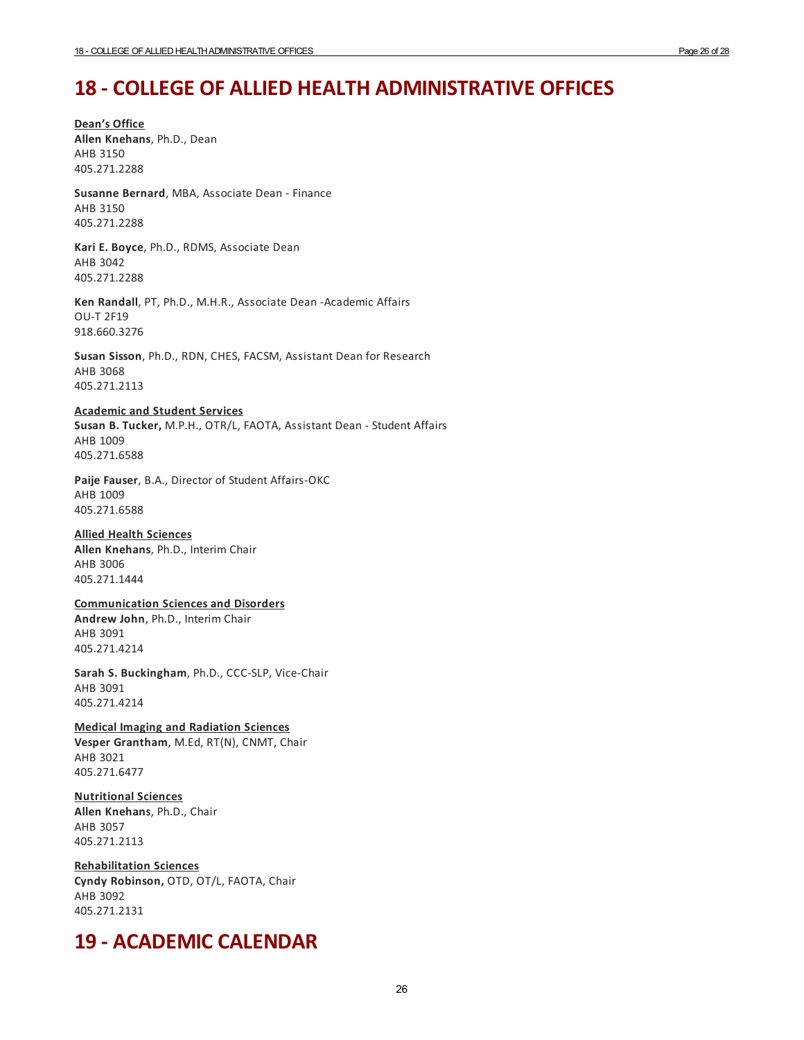# <span id="page-25-0"></span>**18 - COLLEGE OF ALLIED HEALTH ADMINISTRATIVE OFFICES**

**Dean's Office Allen Knehans**, Ph.D., Dean AHB 3150 405.271.2288

**Susanne Bernard**, MBA, Associate Dean - Finance AHB 3150 405.271.2288

**Kari E. Boyce**, Ph.D., RDMS, Associate Dean AHB 3042 405.271.2288

**Ken Randall**, PT, Ph.D., M.H.R., Associate Dean -Academic Affairs OU-T 2F19 918.660.3276

**Susan Sisson**, Ph.D., RDN, CHES, FACSM, Assistant Dean for Research AHB 3068 405.271.2113

#### **Academic and Student Services**

**Susan B. Tucker,** M.P.H., OTR/L, FAOTA, Assistant Dean - Student Affairs AHB 1009 405.271.6588

**Paije Fauser**, B.A., Director of Student Affairs-OKC AHB 1009 405.271.6588

#### **Allied Health Sciences**

**Allen Knehans**, Ph.D., Interim Chair AHB 3006 405.271.1444

#### **Communication Sciences and Disorders**

**Andrew John**, Ph.D., Interim Chair AHB 3091 405.271.4214

**Sarah S. Buckingham**, Ph.D., CCC-SLP, Vice-Chair AHB 3091 405.271.4214

**Medical Imaging and Radiation Sciences Vesper Grantham**, M.Ed, RT(N), CNMT, Chair AHB 3021 405.271.6477

**Nutritional Sciences Allen Knehans**, Ph.D., Chair AHB 3057 405.271.2113

**Rehabilitation Sciences Cyndy Robinson,** OTD, OT/L, FAOTA, Chair AHB 3092 405.271.2131

## <span id="page-25-1"></span>**19 - ACADEMIC CALENDAR**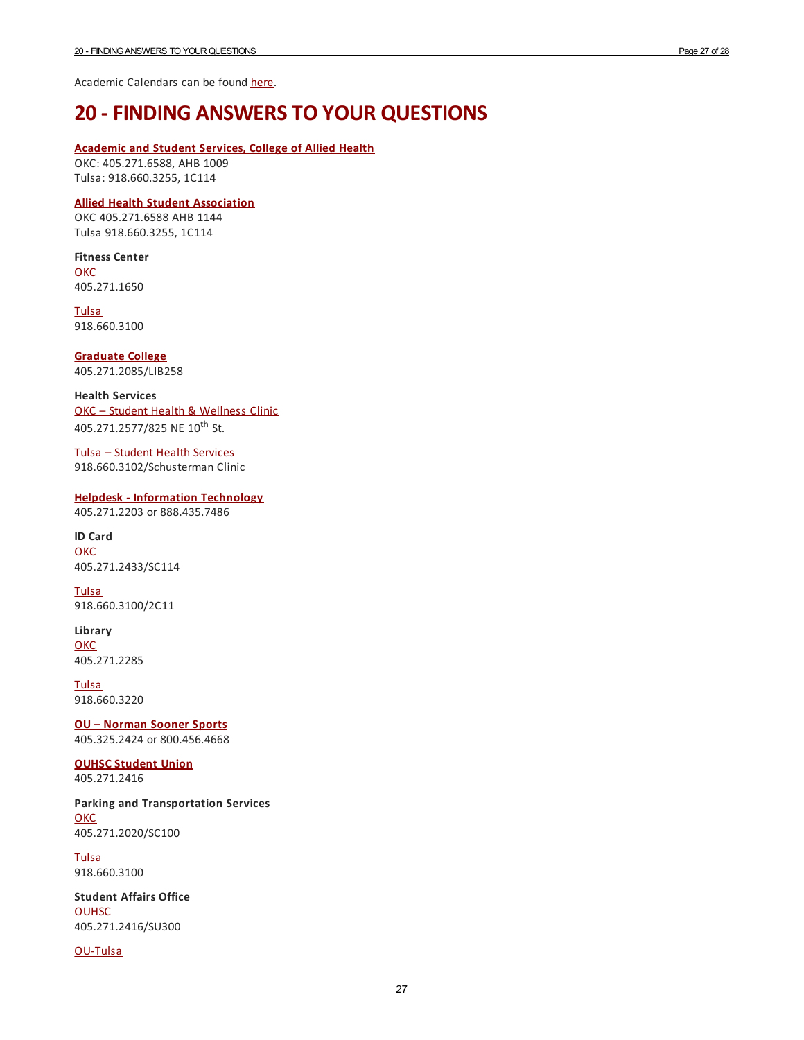Academic Calendars can be found [here](http://admissions.ouhsc.edu//AcademicCalendar.aspx).

# <span id="page-26-0"></span>**20 -FINDING ANSWERS TO YOUR QUESTIONS**

#### **[Academic](http://alliedhealth.ouhsc.edu/CurrentStudents/OfficeofAcademicStudentServices.aspx) and Student Services, College of Allied Health**

OKC: 405.271.6588, AHB 1009 Tulsa: 918.660.3255, 1C114

#### **Allied Health Student [Association](http://alliedhealth.ouhsc.edu/CurrentStudents/StudentOrganizations/StudentAssociation.aspx)**

OKC 405.271.6588 AHB 1144 Tulsa 918.660.3255, 1C114

**Fitness Center**

**[OKC](http://www.ouhsc.edu/uhc/about.asp)** 405.271.1650

**[Tulsa](https://www.ou.edu/tulsastudentaffairs/resources/fitness_center)** 918.660.3100

**[Graduate](http://graduate.ouhsc.edu/) College** 405.271.2085/LIB258

**Health Services** OKC – Student Health & [Wellness](http://students.ouhsc.edu/SHWC.aspx) Clinic 405.271.2577/825 NE 10<sup>th</sup> St.

Tulsa – Student Health [Services](http://www.ou.edu/tulsastudentaffairs/resources/health) 918.660.3102/Schusterman Clinic

**Helpdesk - [Information](http://it.ouhsc.edu/services/servicedesk) Technology** 405.271.2203 or 888.435.7486

**ID Card [OKC](https://www.ouhsc.edu/financialservices/bursar/onecard_FAQ.asp)** 405.271.2433/SC114

**[Tulsa](http://www.ou.edu/tulsa/esfs/student-employee-i-d--cards)** 918.660.3100/2C11

**Library [OKC](http://library.ouhsc.edu/index)** 405.271.2285

**[Tulsa](https://library.tulsa.ou.edu/)** 918.660.3220

**OU – [Norman](http://www.soonersports.com/) Sooner Sports** 405.325.2424 or 800.456.4668

**OUHSC [Student](http://students.ouhsc.edu/StudentUnion.aspx) Union**

405.271.2416

**Parking and Transportation Services [OKC](http://oupts.ouhsc.edu)** 405.271.2020/SC100

**[Tulsa](http://www.ou.edu/parking/park_on_campus)** 918.660.3100

**Student Affairs Office [OUHSC](http://student-affairs.ouhsc.edu/)** 405.271.2416/SU300

[OU-Tulsa](http://www.ou.edu/tulsastudentaffairs.html ����)